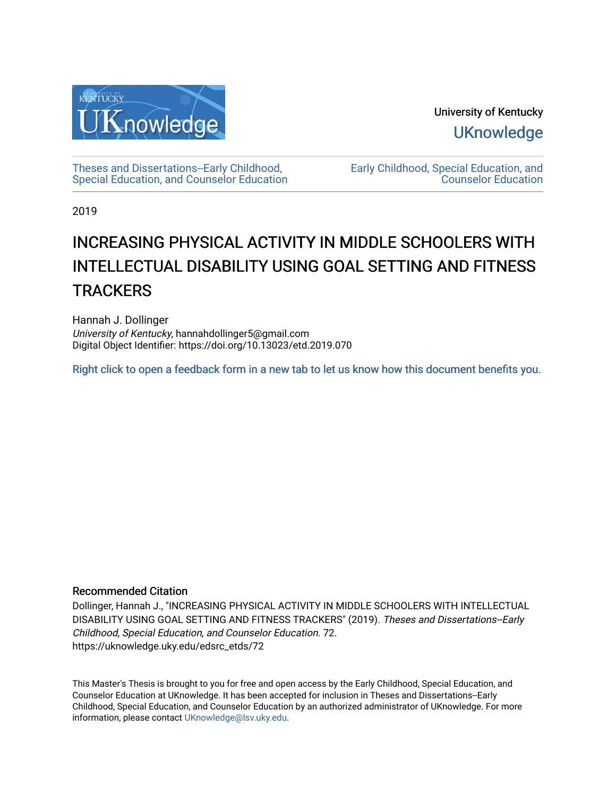

University of Kentucky **UKnowledge** 

[Theses and Dissertations--Early Childhood,](https://uknowledge.uky.edu/edsrc_etds)  [Special Education, and Counselor Education](https://uknowledge.uky.edu/edsrc_etds) [Early Childhood, Special Education, and](https://uknowledge.uky.edu/edsrc)  [Counselor Education](https://uknowledge.uky.edu/edsrc) 

2019

# INCREASING PHYSICAL ACTIVITY IN MIDDLE SCHOOLERS WITH INTELLECTUAL DISABILITY USING GOAL SETTING AND FITNESS **TRACKERS**

Hannah J. Dollinger University of Kentucky, hannahdollinger5@gmail.com Digital Object Identifier: https://doi.org/10.13023/etd.2019.070

[Right click to open a feedback form in a new tab to let us know how this document benefits you.](https://uky.az1.qualtrics.com/jfe/form/SV_9mq8fx2GnONRfz7)

### Recommended Citation

Dollinger, Hannah J., "INCREASING PHYSICAL ACTIVITY IN MIDDLE SCHOOLERS WITH INTELLECTUAL DISABILITY USING GOAL SETTING AND FITNESS TRACKERS" (2019). Theses and Dissertations--Early Childhood, Special Education, and Counselor Education. 72. https://uknowledge.uky.edu/edsrc\_etds/72

This Master's Thesis is brought to you for free and open access by the Early Childhood, Special Education, and Counselor Education at UKnowledge. It has been accepted for inclusion in Theses and Dissertations--Early Childhood, Special Education, and Counselor Education by an authorized administrator of UKnowledge. For more information, please contact [UKnowledge@lsv.uky.edu](mailto:UKnowledge@lsv.uky.edu).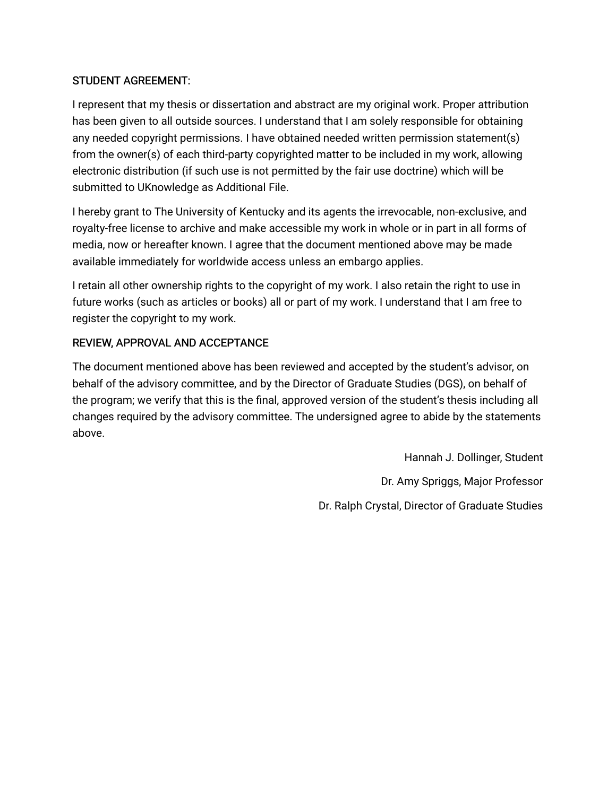## STUDENT AGREEMENT:

I represent that my thesis or dissertation and abstract are my original work. Proper attribution has been given to all outside sources. I understand that I am solely responsible for obtaining any needed copyright permissions. I have obtained needed written permission statement(s) from the owner(s) of each third-party copyrighted matter to be included in my work, allowing electronic distribution (if such use is not permitted by the fair use doctrine) which will be submitted to UKnowledge as Additional File.

I hereby grant to The University of Kentucky and its agents the irrevocable, non-exclusive, and royalty-free license to archive and make accessible my work in whole or in part in all forms of media, now or hereafter known. I agree that the document mentioned above may be made available immediately for worldwide access unless an embargo applies.

I retain all other ownership rights to the copyright of my work. I also retain the right to use in future works (such as articles or books) all or part of my work. I understand that I am free to register the copyright to my work.

## REVIEW, APPROVAL AND ACCEPTANCE

The document mentioned above has been reviewed and accepted by the student's advisor, on behalf of the advisory committee, and by the Director of Graduate Studies (DGS), on behalf of the program; we verify that this is the final, approved version of the student's thesis including all changes required by the advisory committee. The undersigned agree to abide by the statements above.

> Hannah J. Dollinger, Student Dr. Amy Spriggs, Major Professor Dr. Ralph Crystal, Director of Graduate Studies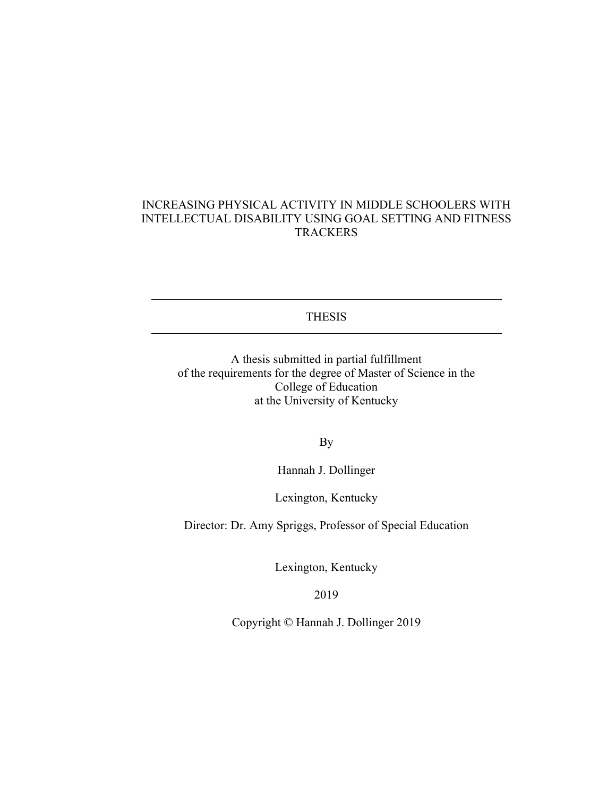## INCREASING PHYSICAL ACTIVITY IN MIDDLE SCHOOLERS WITH INTELLECTUAL DISABILITY USING GOAL SETTING AND FITNESS **TRACKERS**

### THESIS

A thesis submitted in partial fulfillment of the requirements for the degree of Master of Science in the College of Education at the University of Kentucky

By

Hannah J. Dollinger

Lexington, Kentucky

Director: Dr. Amy Spriggs, Professor of Special Education

Lexington, Kentucky

2019

Copyright © Hannah J. Dollinger 2019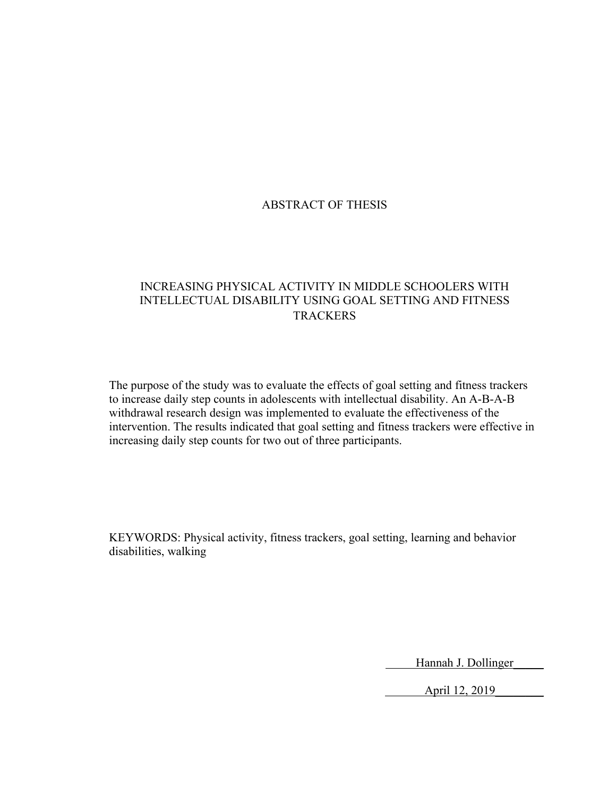## ABSTRACT OF THESIS

## INCREASING PHYSICAL ACTIVITY IN MIDDLE SCHOOLERS WITH INTELLECTUAL DISABILITY USING GOAL SETTING AND FITNESS **TRACKERS**

The purpose of the study was to evaluate the effects of goal setting and fitness trackers to increase daily step counts in adolescents with intellectual disability. An A-B-A-B withdrawal research design was implemented to evaluate the effectiveness of the intervention. The results indicated that goal setting and fitness trackers were effective in increasing daily step counts for two out of three participants.

KEYWORDS: Physical activity, fitness trackers, goal setting, learning and behavior disabilities, walking

Hannah J. Dollinger\_\_\_\_\_

April 12, 2019\_\_\_\_\_\_\_\_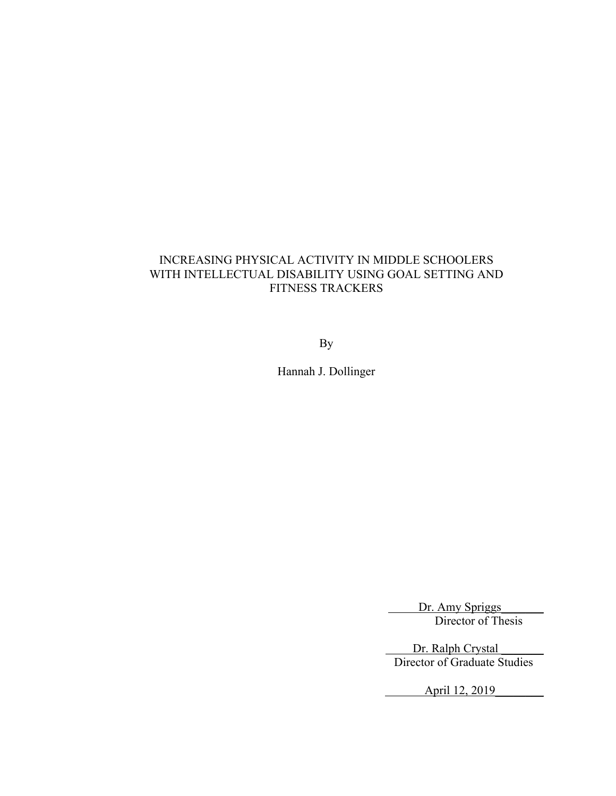## INCREASING PHYSICAL ACTIVITY IN MIDDLE SCHOOLERS WITH INTELLECTUAL DISABILITY USING GOAL SETTING AND FITNESS TRACKERS

By

Hannah J. Dollinger

Dr. Amy Spriggs Director of Thesis

Dr. Ralph Crystal Director of Graduate Studies

April 12, 2019\_\_\_\_\_\_\_\_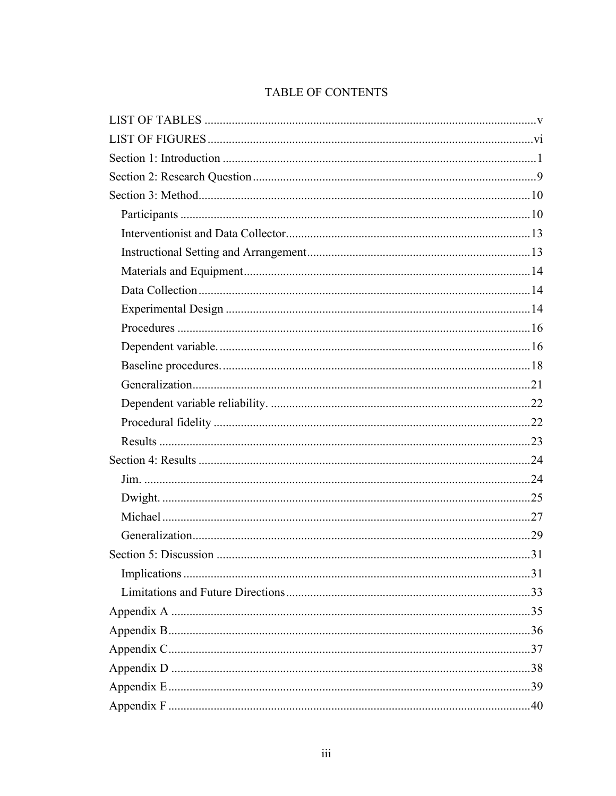# TABLE OF CONTENTS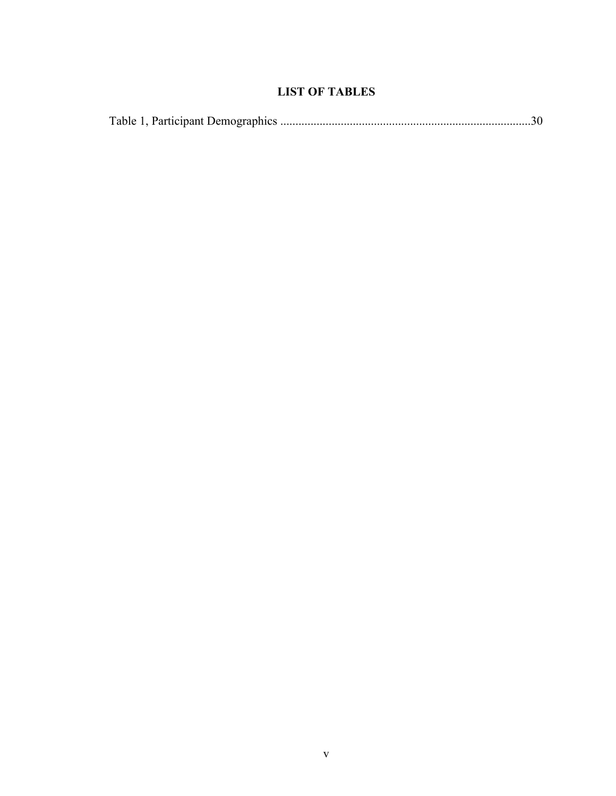# **LIST OF TABLES**

|--|--|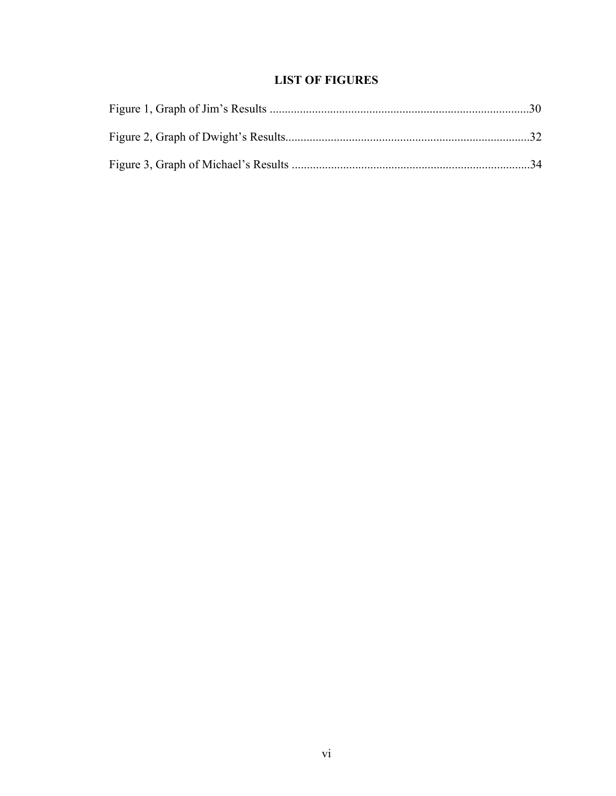## **LIST OF FIGURES**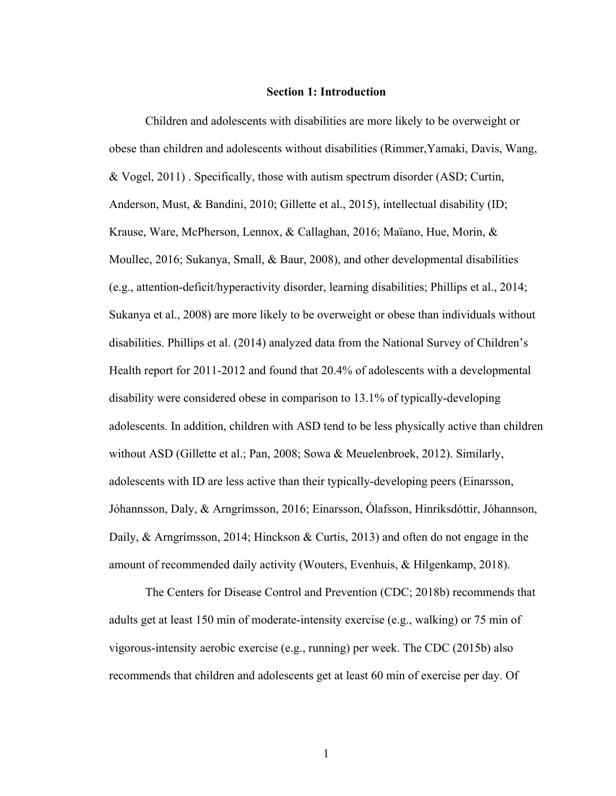#### **Section 1: Introduction**

Children and adolescents with disabilities are more likely to be overweight or obese than children and adolescents without disabilities (Rimmer,Yamaki, Davis, Wang, & Vogel, 2011) . Specifically, those with autism spectrum disorder (ASD; Curtin, Anderson, Must, & Bandini, 2010; Gillette et al., 2015), intellectual disability (ID; Krause, Ware, McPherson, Lennox, & Callaghan, 2016; Maïano, Hue, Morin, & Moullec, 2016; Sukanya, Small, & Baur, 2008), and other developmental disabilities (e.g., attention-deficit/hyperactivity disorder, learning disabilities; Phillips et al., 2014; Sukanya et al., 2008) are more likely to be overweight or obese than individuals without disabilities. Phillips et al. (2014) analyzed data from the National Survey of Children's Health report for 2011-2012 and found that 20.4% of adolescents with a developmental disability were considered obese in comparison to 13.1% of typically-developing adolescents. In addition, children with ASD tend to be less physically active than children without ASD (Gillette et al.; Pan, 2008; Sowa & Meuelenbroek, 2012). Similarly, adolescents with ID are less active than their typically-developing peers (Einarsson, Jóhannsson, Daly, & Arngrímsson, 2016; Einarsson, Ólafsson, Hinriksdóttir, Jóhannson, Daily, & Arngrímsson, 2014; Hinckson & Curtis, 2013) and often do not engage in the amount of recommended daily activity (Wouters, Evenhuis, & Hilgenkamp, 2018).

The Centers for Disease Control and Prevention (CDC; 2018b) recommends that adults get at least 150 min of moderate-intensity exercise (e.g., walking) or 75 min of vigorous-intensity aerobic exercise (e.g., running) per week. The CDC (2015b) also recommends that children and adolescents get at least 60 min of exercise per day. Of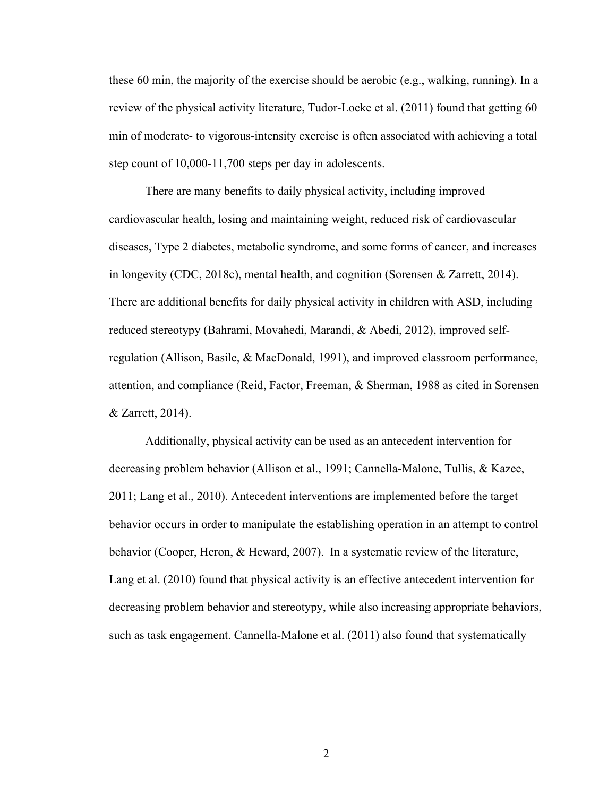these 60 min, the majority of the exercise should be aerobic (e.g., walking, running). In a review of the physical activity literature, Tudor-Locke et al. (2011) found that getting 60 min of moderate- to vigorous-intensity exercise is often associated with achieving a total step count of 10,000-11,700 steps per day in adolescents.

There are many benefits to daily physical activity, including improved cardiovascular health, losing and maintaining weight, reduced risk of cardiovascular diseases, Type 2 diabetes, metabolic syndrome, and some forms of cancer, and increases in longevity (CDC, 2018c), mental health, and cognition (Sorensen & Zarrett, 2014). There are additional benefits for daily physical activity in children with ASD, including reduced stereotypy (Bahrami, Movahedi, Marandi, & Abedi, 2012), improved selfregulation (Allison, Basile, & MacDonald, 1991), and improved classroom performance, attention, and compliance (Reid, Factor, Freeman, & Sherman, 1988 as cited in Sorensen & Zarrett, 2014).

Additionally, physical activity can be used as an antecedent intervention for decreasing problem behavior (Allison et al., 1991; Cannella-Malone, Tullis, & Kazee, 2011; Lang et al., 2010). Antecedent interventions are implemented before the target behavior occurs in order to manipulate the establishing operation in an attempt to control behavior (Cooper, Heron, & Heward, 2007). In a systematic review of the literature, Lang et al. (2010) found that physical activity is an effective antecedent intervention for decreasing problem behavior and stereotypy, while also increasing appropriate behaviors, such as task engagement. Cannella-Malone et al. (2011) also found that systematically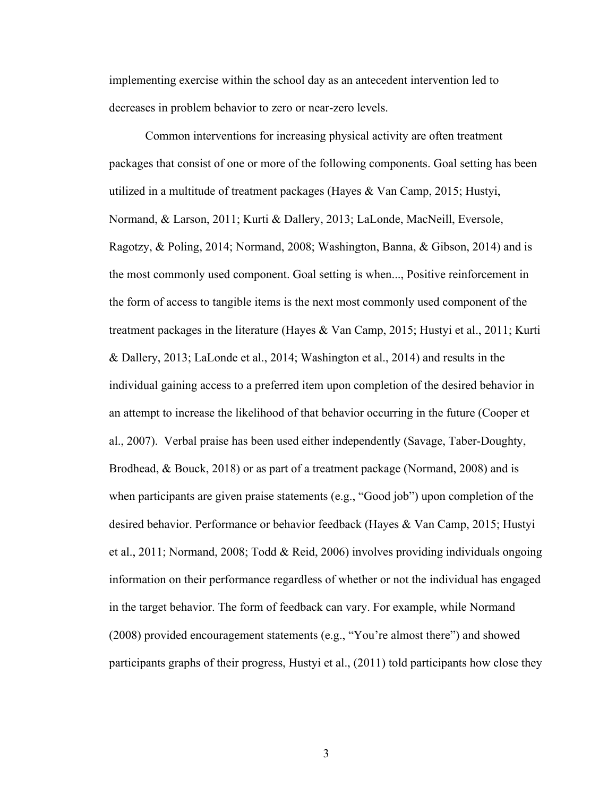implementing exercise within the school day as an antecedent intervention led to decreases in problem behavior to zero or near-zero levels.

Common interventions for increasing physical activity are often treatment packages that consist of one or more of the following components. Goal setting has been utilized in a multitude of treatment packages (Hayes & Van Camp, 2015; Hustyi, Normand, & Larson, 2011; Kurti & Dallery, 2013; LaLonde, MacNeill, Eversole, Ragotzy, & Poling, 2014; Normand, 2008; Washington, Banna, & Gibson, 2014) and is the most commonly used component. Goal setting is when..., Positive reinforcement in the form of access to tangible items is the next most commonly used component of the treatment packages in the literature (Hayes & Van Camp, 2015; Hustyi et al., 2011; Kurti & Dallery, 2013; LaLonde et al., 2014; Washington et al., 2014) and results in the individual gaining access to a preferred item upon completion of the desired behavior in an attempt to increase the likelihood of that behavior occurring in the future (Cooper et al., 2007). Verbal praise has been used either independently (Savage, Taber-Doughty, Brodhead, & Bouck, 2018) or as part of a treatment package (Normand, 2008) and is when participants are given praise statements (e.g., "Good job") upon completion of the desired behavior. Performance or behavior feedback (Hayes & Van Camp, 2015; Hustyi et al., 2011; Normand, 2008; Todd & Reid, 2006) involves providing individuals ongoing information on their performance regardless of whether or not the individual has engaged in the target behavior. The form of feedback can vary. For example, while Normand (2008) provided encouragement statements (e.g., "You're almost there") and showed participants graphs of their progress, Hustyi et al., (2011) told participants how close they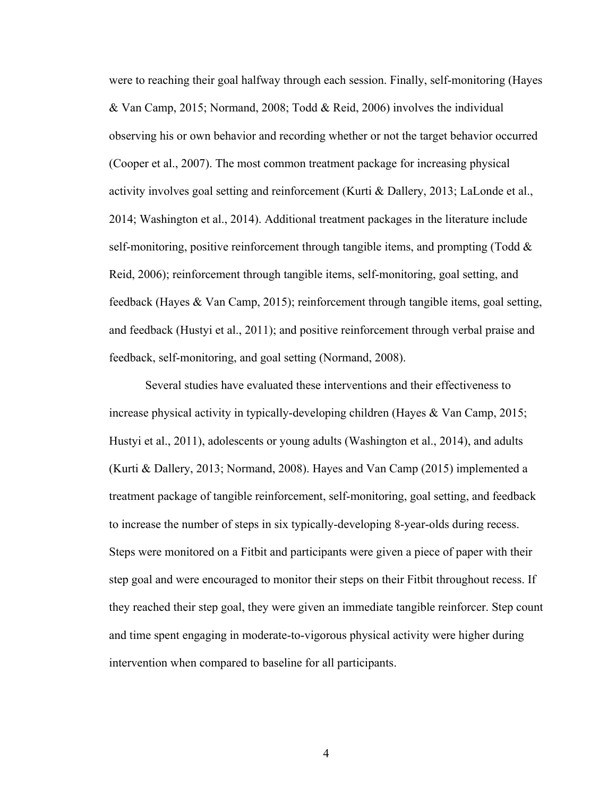were to reaching their goal halfway through each session. Finally, self-monitoring (Hayes & Van Camp, 2015; Normand, 2008; Todd & Reid, 2006) involves the individual observing his or own behavior and recording whether or not the target behavior occurred (Cooper et al., 2007). The most common treatment package for increasing physical activity involves goal setting and reinforcement (Kurti & Dallery, 2013; LaLonde et al., 2014; Washington et al., 2014). Additional treatment packages in the literature include self-monitoring, positive reinforcement through tangible items, and prompting (Todd  $\&$ Reid, 2006); reinforcement through tangible items, self-monitoring, goal setting, and feedback (Hayes & Van Camp, 2015); reinforcement through tangible items, goal setting, and feedback (Hustyi et al., 2011); and positive reinforcement through verbal praise and feedback, self-monitoring, and goal setting (Normand, 2008).

Several studies have evaluated these interventions and their effectiveness to increase physical activity in typically-developing children (Hayes & Van Camp, 2015; Hustyi et al., 2011), adolescents or young adults (Washington et al., 2014), and adults (Kurti & Dallery, 2013; Normand, 2008). Hayes and Van Camp (2015) implemented a treatment package of tangible reinforcement, self-monitoring, goal setting, and feedback to increase the number of steps in six typically-developing 8-year-olds during recess. Steps were monitored on a Fitbit and participants were given a piece of paper with their step goal and were encouraged to monitor their steps on their Fitbit throughout recess. If they reached their step goal, they were given an immediate tangible reinforcer. Step count and time spent engaging in moderate-to-vigorous physical activity were higher during intervention when compared to baseline for all participants.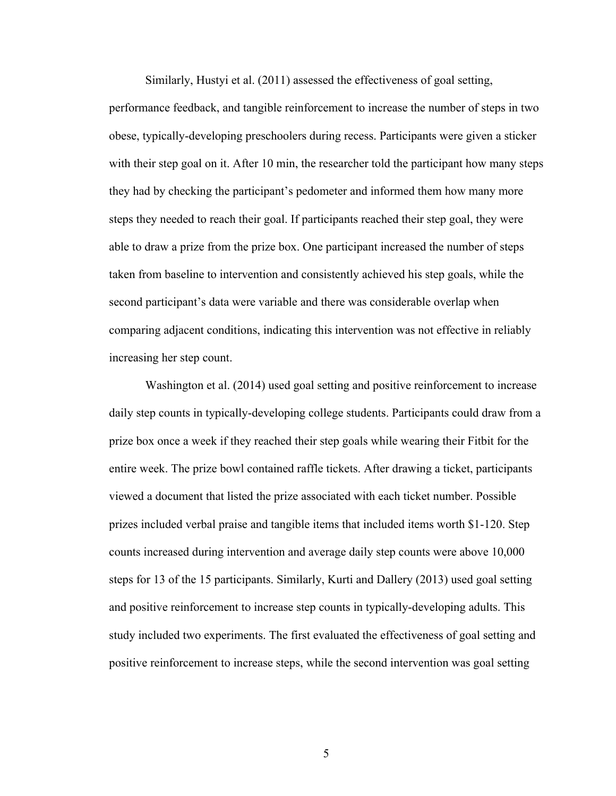Similarly, Hustyi et al. (2011) assessed the effectiveness of goal setting,

performance feedback, and tangible reinforcement to increase the number of steps in two obese, typically-developing preschoolers during recess. Participants were given a sticker with their step goal on it. After 10 min, the researcher told the participant how many steps they had by checking the participant's pedometer and informed them how many more steps they needed to reach their goal. If participants reached their step goal, they were able to draw a prize from the prize box. One participant increased the number of steps taken from baseline to intervention and consistently achieved his step goals, while the second participant's data were variable and there was considerable overlap when comparing adjacent conditions, indicating this intervention was not effective in reliably increasing her step count.

Washington et al. (2014) used goal setting and positive reinforcement to increase daily step counts in typically-developing college students. Participants could draw from a prize box once a week if they reached their step goals while wearing their Fitbit for the entire week. The prize bowl contained raffle tickets. After drawing a ticket, participants viewed a document that listed the prize associated with each ticket number. Possible prizes included verbal praise and tangible items that included items worth \$1-120. Step counts increased during intervention and average daily step counts were above 10,000 steps for 13 of the 15 participants. Similarly, Kurti and Dallery (2013) used goal setting and positive reinforcement to increase step counts in typically-developing adults. This study included two experiments. The first evaluated the effectiveness of goal setting and positive reinforcement to increase steps, while the second intervention was goal setting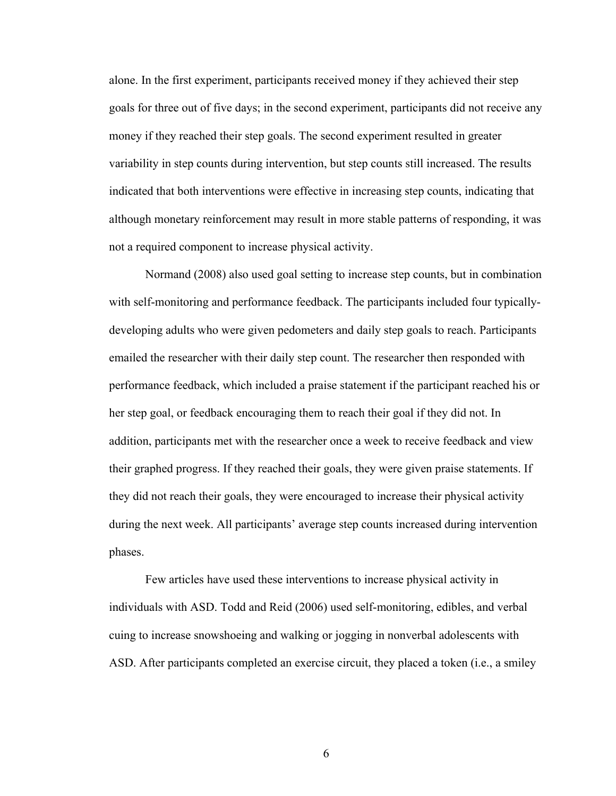alone. In the first experiment, participants received money if they achieved their step goals for three out of five days; in the second experiment, participants did not receive any money if they reached their step goals. The second experiment resulted in greater variability in step counts during intervention, but step counts still increased. The results indicated that both interventions were effective in increasing step counts, indicating that although monetary reinforcement may result in more stable patterns of responding, it was not a required component to increase physical activity.

Normand (2008) also used goal setting to increase step counts, but in combination with self-monitoring and performance feedback. The participants included four typicallydeveloping adults who were given pedometers and daily step goals to reach. Participants emailed the researcher with their daily step count. The researcher then responded with performance feedback, which included a praise statement if the participant reached his or her step goal, or feedback encouraging them to reach their goal if they did not. In addition, participants met with the researcher once a week to receive feedback and view their graphed progress. If they reached their goals, they were given praise statements. If they did not reach their goals, they were encouraged to increase their physical activity during the next week. All participants' average step counts increased during intervention phases.

Few articles have used these interventions to increase physical activity in individuals with ASD. Todd and Reid (2006) used self-monitoring, edibles, and verbal cuing to increase snowshoeing and walking or jogging in nonverbal adolescents with ASD. After participants completed an exercise circuit, they placed a token (i.e., a smiley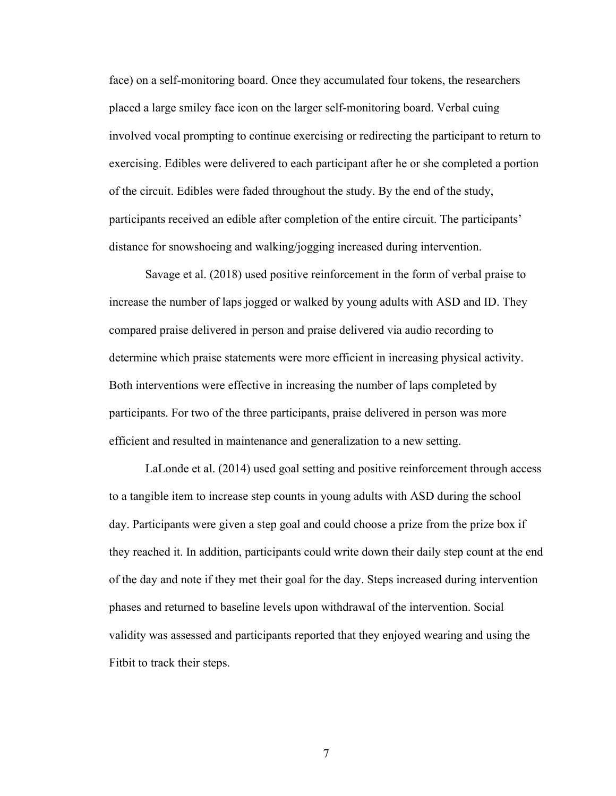face) on a self-monitoring board. Once they accumulated four tokens, the researchers placed a large smiley face icon on the larger self-monitoring board. Verbal cuing involved vocal prompting to continue exercising or redirecting the participant to return to exercising. Edibles were delivered to each participant after he or she completed a portion of the circuit. Edibles were faded throughout the study. By the end of the study, participants received an edible after completion of the entire circuit. The participants' distance for snowshoeing and walking/jogging increased during intervention.

Savage et al. (2018) used positive reinforcement in the form of verbal praise to increase the number of laps jogged or walked by young adults with ASD and ID. They compared praise delivered in person and praise delivered via audio recording to determine which praise statements were more efficient in increasing physical activity. Both interventions were effective in increasing the number of laps completed by participants. For two of the three participants, praise delivered in person was more efficient and resulted in maintenance and generalization to a new setting.

LaLonde et al. (2014) used goal setting and positive reinforcement through access to a tangible item to increase step counts in young adults with ASD during the school day. Participants were given a step goal and could choose a prize from the prize box if they reached it. In addition, participants could write down their daily step count at the end of the day and note if they met their goal for the day. Steps increased during intervention phases and returned to baseline levels upon withdrawal of the intervention. Social validity was assessed and participants reported that they enjoyed wearing and using the Fitbit to track their steps.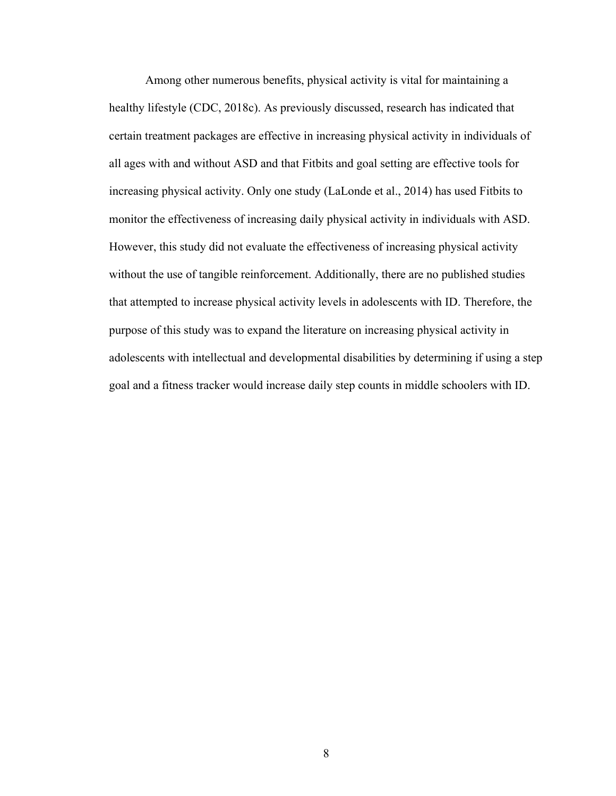Among other numerous benefits, physical activity is vital for maintaining a healthy lifestyle (CDC, 2018c). As previously discussed, research has indicated that certain treatment packages are effective in increasing physical activity in individuals of all ages with and without ASD and that Fitbits and goal setting are effective tools for increasing physical activity. Only one study (LaLonde et al., 2014) has used Fitbits to monitor the effectiveness of increasing daily physical activity in individuals with ASD. However, this study did not evaluate the effectiveness of increasing physical activity without the use of tangible reinforcement. Additionally, there are no published studies that attempted to increase physical activity levels in adolescents with ID. Therefore, the purpose of this study was to expand the literature on increasing physical activity in adolescents with intellectual and developmental disabilities by determining if using a step goal and a fitness tracker would increase daily step counts in middle schoolers with ID.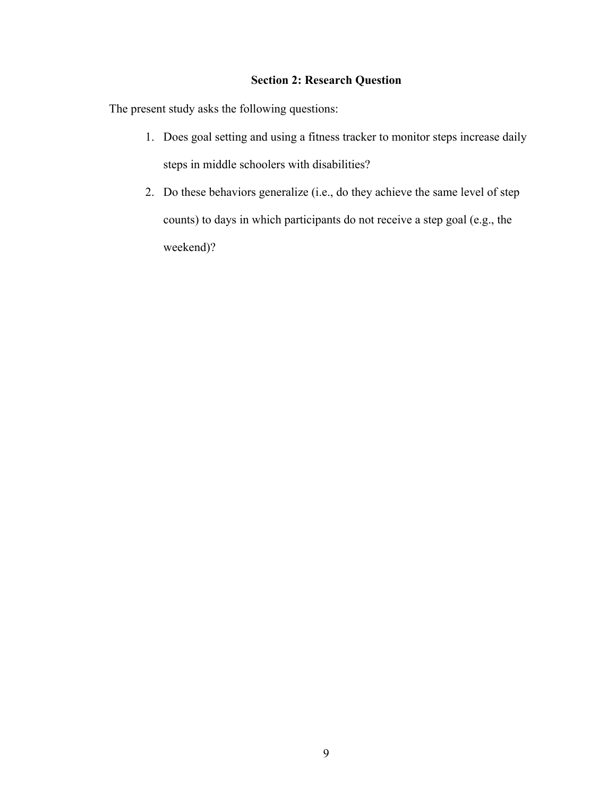## **Section 2: Research Question**

The present study asks the following questions:

- 1. Does goal setting and using a fitness tracker to monitor steps increase daily steps in middle schoolers with disabilities?
- 2. Do these behaviors generalize (i.e., do they achieve the same level of step counts) to days in which participants do not receive a step goal (e.g., the weekend)?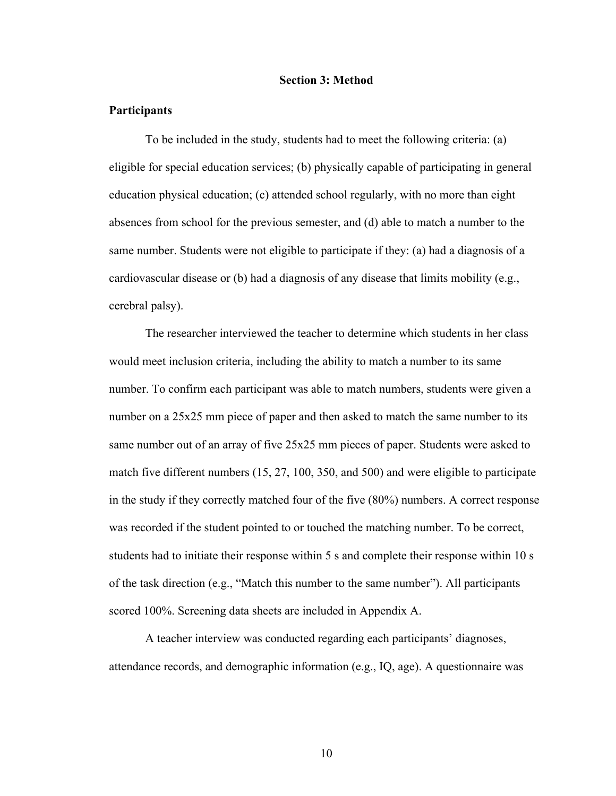#### **Section 3: Method**

#### **Participants**

To be included in the study, students had to meet the following criteria: (a) eligible for special education services; (b) physically capable of participating in general education physical education; (c) attended school regularly, with no more than eight absences from school for the previous semester, and (d) able to match a number to the same number. Students were not eligible to participate if they: (a) had a diagnosis of a cardiovascular disease or (b) had a diagnosis of any disease that limits mobility (e.g., cerebral palsy).

The researcher interviewed the teacher to determine which students in her class would meet inclusion criteria, including the ability to match a number to its same number. To confirm each participant was able to match numbers, students were given a number on a 25x25 mm piece of paper and then asked to match the same number to its same number out of an array of five 25x25 mm pieces of paper. Students were asked to match five different numbers (15, 27, 100, 350, and 500) and were eligible to participate in the study if they correctly matched four of the five (80%) numbers. A correct response was recorded if the student pointed to or touched the matching number. To be correct, students had to initiate their response within 5 s and complete their response within 10 s of the task direction (e.g., "Match this number to the same number"). All participants scored 100%. Screening data sheets are included in Appendix A.

A teacher interview was conducted regarding each participants' diagnoses, attendance records, and demographic information (e.g., IQ, age). A questionnaire was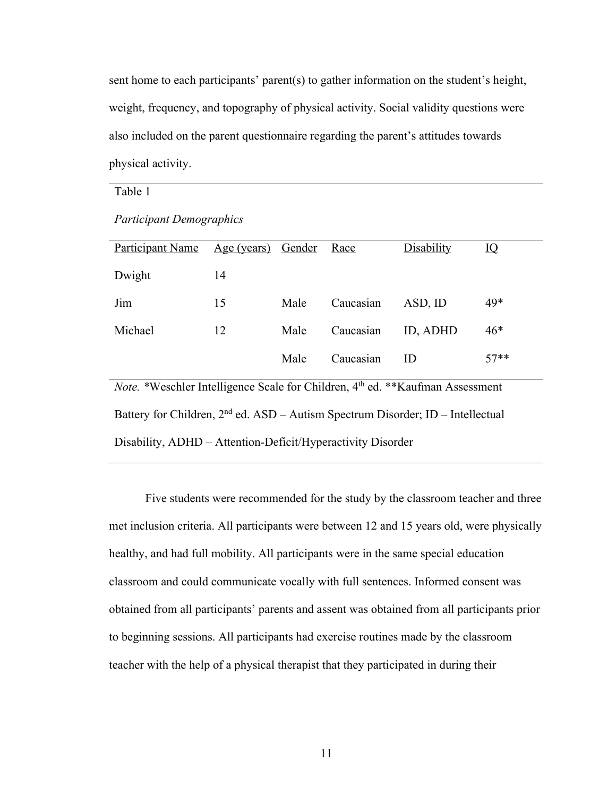sent home to each participants' parent(s) to gather information on the student's height, weight, frequency, and topography of physical activity. Social validity questions were also included on the parent questionnaire regarding the parent's attitudes towards physical activity.

Table 1

| <b>Participant Name</b> | <u>Age (years) Gender</u> |      | Race      | Disability | $\overline{1Q}$ |
|-------------------------|---------------------------|------|-----------|------------|-----------------|
| Dwight                  | 14                        |      |           |            |                 |
| Jim                     | 15                        | Male | Caucasian | ASD, ID    | 49*             |
| Michael                 | 12                        | Male | Caucasian | ID, ADHD   | $46*$           |
|                         |                           | Male | Caucasian | ID         | $57**$          |
|                         |                           |      |           |            |                 |

*Participant Demographics*

*Note.* \*Weschler Intelligence Scale for Children, 4<sup>th</sup> ed. \*\*Kaufman Assessment Battery for Children, 2<sup>nd</sup> ed. ASD – Autism Spectrum Disorder; ID – Intellectual Disability, ADHD – Attention-Deficit/Hyperactivity Disorder

Five students were recommended for the study by the classroom teacher and three met inclusion criteria. All participants were between 12 and 15 years old, were physically healthy, and had full mobility. All participants were in the same special education classroom and could communicate vocally with full sentences. Informed consent was obtained from all participants' parents and assent was obtained from all participants prior to beginning sessions. All participants had exercise routines made by the classroom teacher with the help of a physical therapist that they participated in during their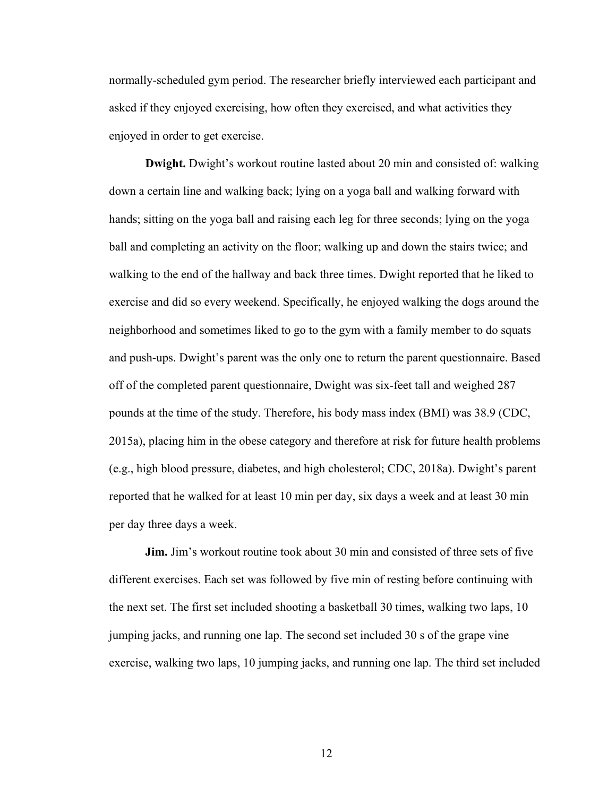normally-scheduled gym period. The researcher briefly interviewed each participant and asked if they enjoyed exercising, how often they exercised, and what activities they enjoyed in order to get exercise.

**Dwight.** Dwight's workout routine lasted about 20 min and consisted of: walking down a certain line and walking back; lying on a yoga ball and walking forward with hands; sitting on the yoga ball and raising each leg for three seconds; lying on the yoga ball and completing an activity on the floor; walking up and down the stairs twice; and walking to the end of the hallway and back three times. Dwight reported that he liked to exercise and did so every weekend. Specifically, he enjoyed walking the dogs around the neighborhood and sometimes liked to go to the gym with a family member to do squats and push-ups. Dwight's parent was the only one to return the parent questionnaire. Based off of the completed parent questionnaire, Dwight was six-feet tall and weighed 287 pounds at the time of the study. Therefore, his body mass index (BMI) was 38.9 (CDC, 2015a), placing him in the obese category and therefore at risk for future health problems (e.g., high blood pressure, diabetes, and high cholesterol; CDC, 2018a). Dwight's parent reported that he walked for at least 10 min per day, six days a week and at least 30 min per day three days a week.

**Jim.** Jim's workout routine took about 30 min and consisted of three sets of five different exercises. Each set was followed by five min of resting before continuing with the next set. The first set included shooting a basketball 30 times, walking two laps, 10 jumping jacks, and running one lap. The second set included 30 s of the grape vine exercise, walking two laps, 10 jumping jacks, and running one lap. The third set included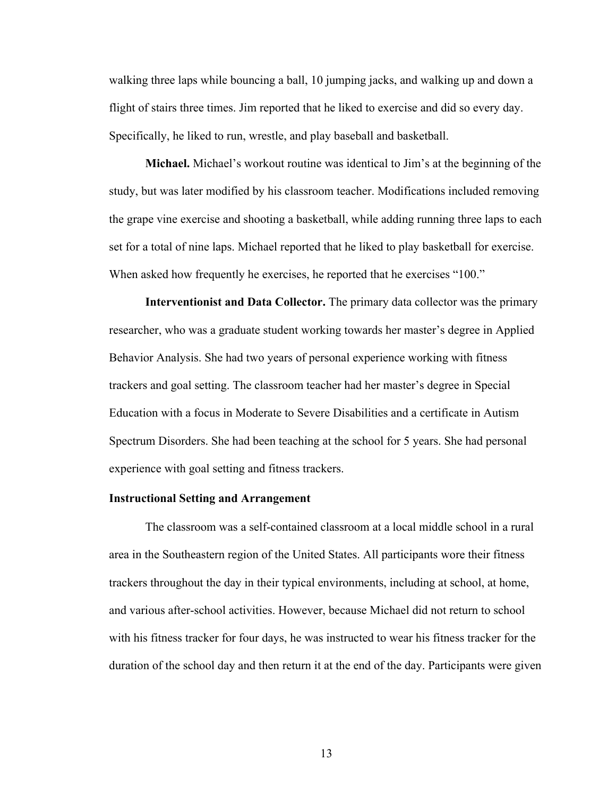walking three laps while bouncing a ball, 10 jumping jacks, and walking up and down a flight of stairs three times. Jim reported that he liked to exercise and did so every day. Specifically, he liked to run, wrestle, and play baseball and basketball.

**Michael.** Michael's workout routine was identical to Jim's at the beginning of the study, but was later modified by his classroom teacher. Modifications included removing the grape vine exercise and shooting a basketball, while adding running three laps to each set for a total of nine laps. Michael reported that he liked to play basketball for exercise. When asked how frequently he exercises, he reported that he exercises "100."

**Interventionist and Data Collector.** The primary data collector was the primary researcher, who was a graduate student working towards her master's degree in Applied Behavior Analysis. She had two years of personal experience working with fitness trackers and goal setting. The classroom teacher had her master's degree in Special Education with a focus in Moderate to Severe Disabilities and a certificate in Autism Spectrum Disorders. She had been teaching at the school for 5 years. She had personal experience with goal setting and fitness trackers.

#### **Instructional Setting and Arrangement**

The classroom was a self-contained classroom at a local middle school in a rural area in the Southeastern region of the United States. All participants wore their fitness trackers throughout the day in their typical environments, including at school, at home, and various after-school activities. However, because Michael did not return to school with his fitness tracker for four days, he was instructed to wear his fitness tracker for the duration of the school day and then return it at the end of the day. Participants were given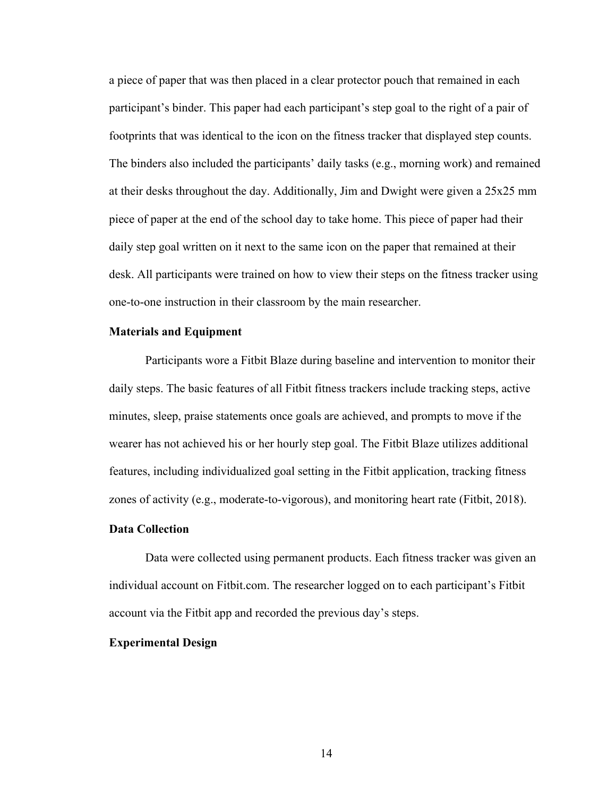a piece of paper that was then placed in a clear protector pouch that remained in each participant's binder. This paper had each participant's step goal to the right of a pair of footprints that was identical to the icon on the fitness tracker that displayed step counts. The binders also included the participants' daily tasks (e.g., morning work) and remained at their desks throughout the day. Additionally, Jim and Dwight were given a 25x25 mm piece of paper at the end of the school day to take home. This piece of paper had their daily step goal written on it next to the same icon on the paper that remained at their desk. All participants were trained on how to view their steps on the fitness tracker using one-to-one instruction in their classroom by the main researcher.

#### **Materials and Equipment**

Participants wore a Fitbit Blaze during baseline and intervention to monitor their daily steps. The basic features of all Fitbit fitness trackers include tracking steps, active minutes, sleep, praise statements once goals are achieved, and prompts to move if the wearer has not achieved his or her hourly step goal. The Fitbit Blaze utilizes additional features, including individualized goal setting in the Fitbit application, tracking fitness zones of activity (e.g., moderate-to-vigorous), and monitoring heart rate (Fitbit, 2018).

#### **Data Collection**

Data were collected using permanent products. Each fitness tracker was given an individual account on Fitbit.com. The researcher logged on to each participant's Fitbit account via the Fitbit app and recorded the previous day's steps.

#### **Experimental Design**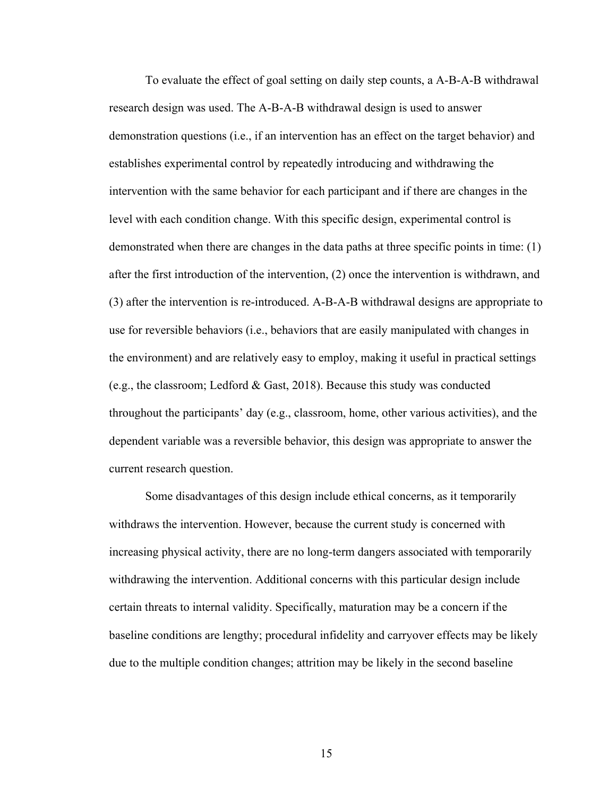To evaluate the effect of goal setting on daily step counts, a A-B-A-B withdrawal research design was used. The A-B-A-B withdrawal design is used to answer demonstration questions (i.e., if an intervention has an effect on the target behavior) and establishes experimental control by repeatedly introducing and withdrawing the intervention with the same behavior for each participant and if there are changes in the level with each condition change. With this specific design, experimental control is demonstrated when there are changes in the data paths at three specific points in time: (1) after the first introduction of the intervention, (2) once the intervention is withdrawn, and (3) after the intervention is re-introduced. A-B-A-B withdrawal designs are appropriate to use for reversible behaviors (i.e., behaviors that are easily manipulated with changes in the environment) and are relatively easy to employ, making it useful in practical settings (e.g., the classroom; Ledford  $&$  Gast, 2018). Because this study was conducted throughout the participants' day (e.g., classroom, home, other various activities), and the dependent variable was a reversible behavior, this design was appropriate to answer the current research question.

Some disadvantages of this design include ethical concerns, as it temporarily withdraws the intervention. However, because the current study is concerned with increasing physical activity, there are no long-term dangers associated with temporarily withdrawing the intervention. Additional concerns with this particular design include certain threats to internal validity. Specifically, maturation may be a concern if the baseline conditions are lengthy; procedural infidelity and carryover effects may be likely due to the multiple condition changes; attrition may be likely in the second baseline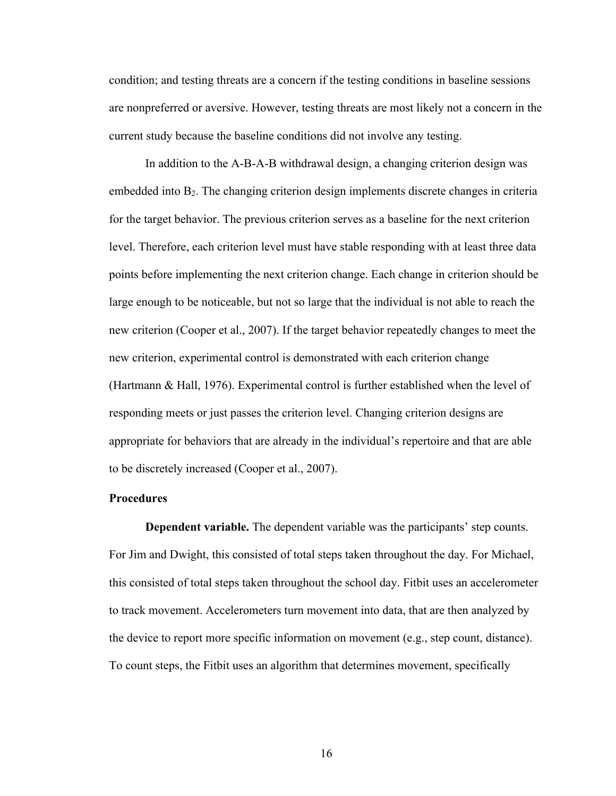condition; and testing threats are a concern if the testing conditions in baseline sessions are nonpreferred or aversive. However, testing threats are most likely not a concern in the current study because the baseline conditions did not involve any testing.

In addition to the A-B-A-B withdrawal design, a changing criterion design was embedded into B2. The changing criterion design implements discrete changes in criteria for the target behavior. The previous criterion serves as a baseline for the next criterion level. Therefore, each criterion level must have stable responding with at least three data points before implementing the next criterion change. Each change in criterion should be large enough to be noticeable, but not so large that the individual is not able to reach the new criterion (Cooper et al., 2007). If the target behavior repeatedly changes to meet the new criterion, experimental control is demonstrated with each criterion change (Hartmann & Hall, 1976). Experimental control is further established when the level of responding meets or just passes the criterion level. Changing criterion designs are appropriate for behaviors that are already in the individual's repertoire and that are able to be discretely increased (Cooper et al., 2007).

#### **Procedures**

**Dependent variable.** The dependent variable was the participants' step counts. For Jim and Dwight, this consisted of total steps taken throughout the day. For Michael, this consisted of total steps taken throughout the school day. Fitbit uses an accelerometer to track movement. Accelerometers turn movement into data, that are then analyzed by the device to report more specific information on movement (e.g., step count, distance). To count steps, the Fitbit uses an algorithm that determines movement, specifically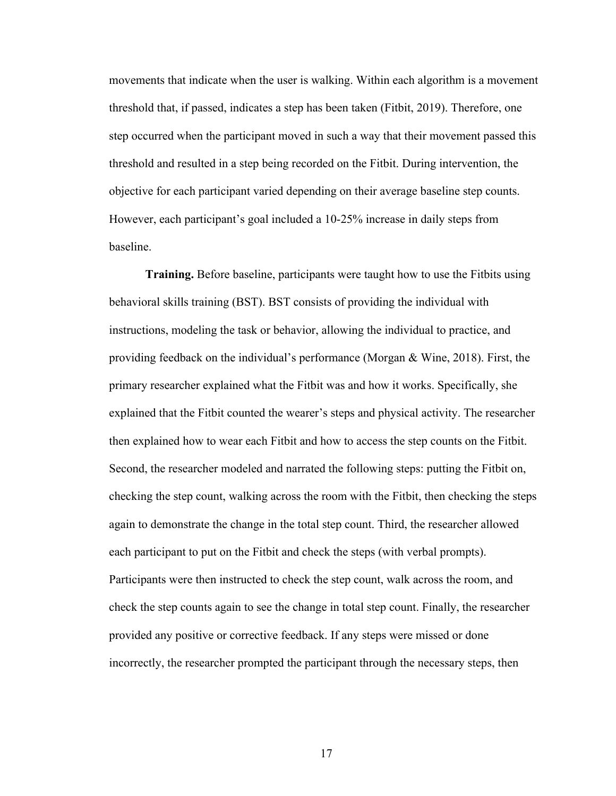movements that indicate when the user is walking. Within each algorithm is a movement threshold that, if passed, indicates a step has been taken (Fitbit, 2019). Therefore, one step occurred when the participant moved in such a way that their movement passed this threshold and resulted in a step being recorded on the Fitbit. During intervention, the objective for each participant varied depending on their average baseline step counts. However, each participant's goal included a 10-25% increase in daily steps from baseline.

**Training.** Before baseline, participants were taught how to use the Fitbits using behavioral skills training (BST). BST consists of providing the individual with instructions, modeling the task or behavior, allowing the individual to practice, and providing feedback on the individual's performance (Morgan & Wine, 2018). First, the primary researcher explained what the Fitbit was and how it works. Specifically, she explained that the Fitbit counted the wearer's steps and physical activity. The researcher then explained how to wear each Fitbit and how to access the step counts on the Fitbit. Second, the researcher modeled and narrated the following steps: putting the Fitbit on, checking the step count, walking across the room with the Fitbit, then checking the steps again to demonstrate the change in the total step count. Third, the researcher allowed each participant to put on the Fitbit and check the steps (with verbal prompts). Participants were then instructed to check the step count, walk across the room, and check the step counts again to see the change in total step count. Finally, the researcher provided any positive or corrective feedback. If any steps were missed or done incorrectly, the researcher prompted the participant through the necessary steps, then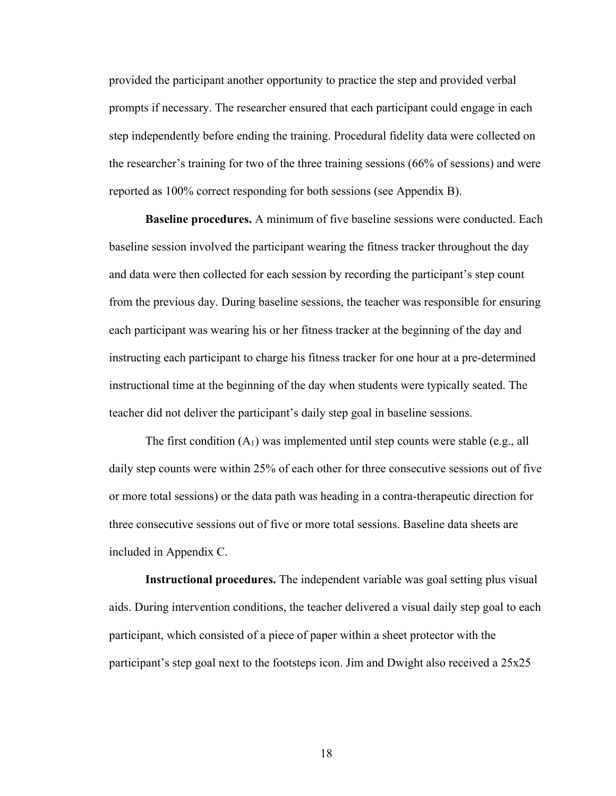provided the participant another opportunity to practice the step and provided verbal prompts if necessary. The researcher ensured that each participant could engage in each step independently before ending the training. Procedural fidelity data were collected on the researcher's training for two of the three training sessions (66% of sessions) and were reported as 100% correct responding for both sessions (see Appendix B).

**Baseline procedures.** A minimum of five baseline sessions were conducted. Each baseline session involved the participant wearing the fitness tracker throughout the day and data were then collected for each session by recording the participant's step count from the previous day. During baseline sessions, the teacher was responsible for ensuring each participant was wearing his or her fitness tracker at the beginning of the day and instructing each participant to charge his fitness tracker for one hour at a pre-determined instructional time at the beginning of the day when students were typically seated. The teacher did not deliver the participant's daily step goal in baseline sessions.

The first condition  $(A_1)$  was implemented until step counts were stable (e.g., all daily step counts were within 25% of each other for three consecutive sessions out of five or more total sessions) or the data path was heading in a contra-therapeutic direction for three consecutive sessions out of five or more total sessions. Baseline data sheets are included in Appendix C.

**Instructional procedures.** The independent variable was goal setting plus visual aids. During intervention conditions, the teacher delivered a visual daily step goal to each participant, which consisted of a piece of paper within a sheet protector with the participant's step goal next to the footsteps icon. Jim and Dwight also received a 25x25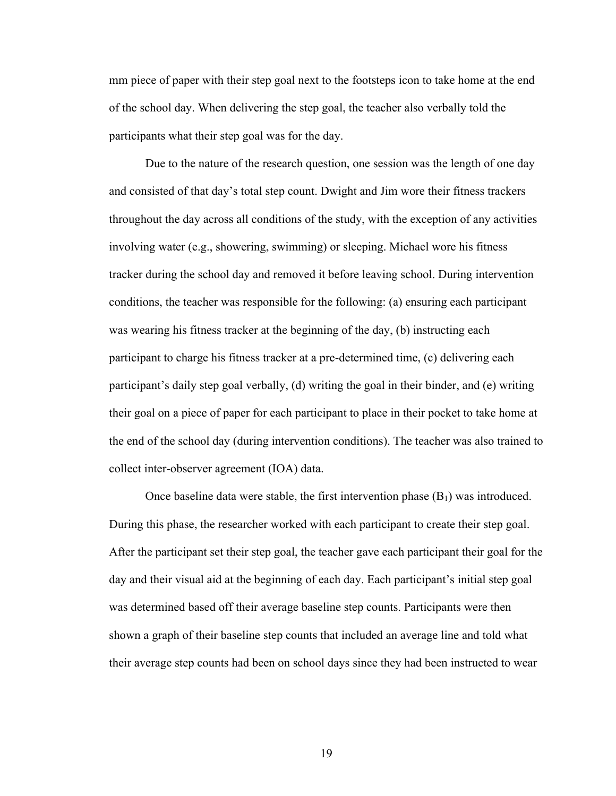mm piece of paper with their step goal next to the footsteps icon to take home at the end of the school day. When delivering the step goal, the teacher also verbally told the participants what their step goal was for the day.

Due to the nature of the research question, one session was the length of one day and consisted of that day's total step count. Dwight and Jim wore their fitness trackers throughout the day across all conditions of the study, with the exception of any activities involving water (e.g., showering, swimming) or sleeping. Michael wore his fitness tracker during the school day and removed it before leaving school. During intervention conditions, the teacher was responsible for the following: (a) ensuring each participant was wearing his fitness tracker at the beginning of the day, (b) instructing each participant to charge his fitness tracker at a pre-determined time, (c) delivering each participant's daily step goal verbally, (d) writing the goal in their binder, and (e) writing their goal on a piece of paper for each participant to place in their pocket to take home at the end of the school day (during intervention conditions). The teacher was also trained to collect inter-observer agreement (IOA) data.

Once baseline data were stable, the first intervention phase  $(B_1)$  was introduced. During this phase, the researcher worked with each participant to create their step goal. After the participant set their step goal, the teacher gave each participant their goal for the day and their visual aid at the beginning of each day. Each participant's initial step goal was determined based off their average baseline step counts. Participants were then shown a graph of their baseline step counts that included an average line and told what their average step counts had been on school days since they had been instructed to wear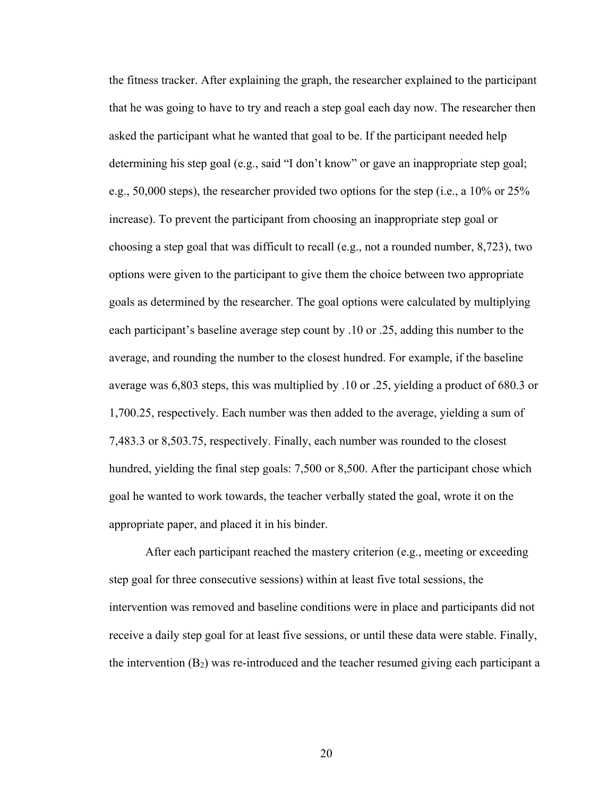the fitness tracker. After explaining the graph, the researcher explained to the participant that he was going to have to try and reach a step goal each day now. The researcher then asked the participant what he wanted that goal to be. If the participant needed help determining his step goal (e.g., said "I don't know" or gave an inappropriate step goal; e.g., 50,000 steps), the researcher provided two options for the step (i.e., a 10% or 25% increase). To prevent the participant from choosing an inappropriate step goal or choosing a step goal that was difficult to recall (e.g., not a rounded number, 8,723), two options were given to the participant to give them the choice between two appropriate goals as determined by the researcher. The goal options were calculated by multiplying each participant's baseline average step count by .10 or .25, adding this number to the average, and rounding the number to the closest hundred. For example, if the baseline average was 6,803 steps, this was multiplied by .10 or .25, yielding a product of 680.3 or 1,700.25, respectively. Each number was then added to the average, yielding a sum of 7,483.3 or 8,503.75, respectively. Finally, each number was rounded to the closest hundred, yielding the final step goals: 7,500 or 8,500. After the participant chose which goal he wanted to work towards, the teacher verbally stated the goal, wrote it on the appropriate paper, and placed it in his binder.

After each participant reached the mastery criterion (e.g., meeting or exceeding step goal for three consecutive sessions) within at least five total sessions, the intervention was removed and baseline conditions were in place and participants did not receive a daily step goal for at least five sessions, or until these data were stable. Finally, the intervention  $(B_2)$  was re-introduced and the teacher resumed giving each participant a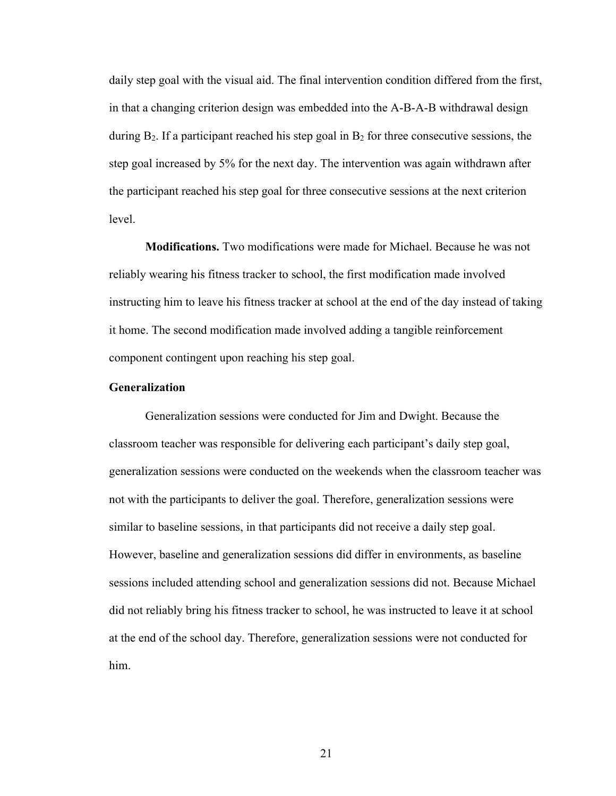daily step goal with the visual aid. The final intervention condition differed from the first, in that a changing criterion design was embedded into the A-B-A-B withdrawal design during  $B_2$ . If a participant reached his step goal in  $B_2$  for three consecutive sessions, the step goal increased by 5% for the next day. The intervention was again withdrawn after the participant reached his step goal for three consecutive sessions at the next criterion level.

**Modifications.** Two modifications were made for Michael. Because he was not reliably wearing his fitness tracker to school, the first modification made involved instructing him to leave his fitness tracker at school at the end of the day instead of taking it home. The second modification made involved adding a tangible reinforcement component contingent upon reaching his step goal.

#### **Generalization**

Generalization sessions were conducted for Jim and Dwight. Because the classroom teacher was responsible for delivering each participant's daily step goal, generalization sessions were conducted on the weekends when the classroom teacher was not with the participants to deliver the goal. Therefore, generalization sessions were similar to baseline sessions, in that participants did not receive a daily step goal. However, baseline and generalization sessions did differ in environments, as baseline sessions included attending school and generalization sessions did not. Because Michael did not reliably bring his fitness tracker to school, he was instructed to leave it at school at the end of the school day. Therefore, generalization sessions were not conducted for him.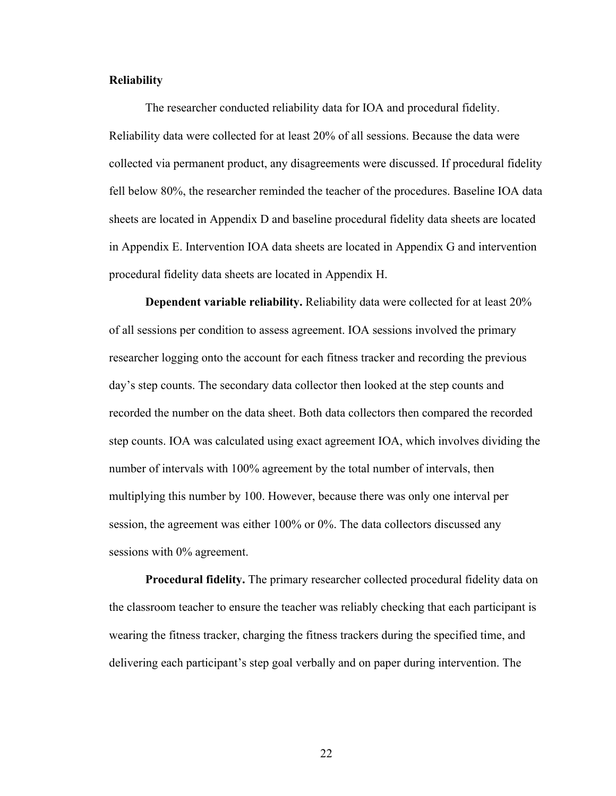#### **Reliability**

The researcher conducted reliability data for IOA and procedural fidelity. Reliability data were collected for at least 20% of all sessions. Because the data were collected via permanent product, any disagreements were discussed. If procedural fidelity fell below 80%, the researcher reminded the teacher of the procedures. Baseline IOA data sheets are located in Appendix D and baseline procedural fidelity data sheets are located in Appendix E. Intervention IOA data sheets are located in Appendix G and intervention procedural fidelity data sheets are located in Appendix H.

**Dependent variable reliability.** Reliability data were collected for at least 20% of all sessions per condition to assess agreement. IOA sessions involved the primary researcher logging onto the account for each fitness tracker and recording the previous day's step counts. The secondary data collector then looked at the step counts and recorded the number on the data sheet. Both data collectors then compared the recorded step counts. IOA was calculated using exact agreement IOA, which involves dividing the number of intervals with 100% agreement by the total number of intervals, then multiplying this number by 100. However, because there was only one interval per session, the agreement was either 100% or 0%. The data collectors discussed any sessions with 0% agreement.

**Procedural fidelity.** The primary researcher collected procedural fidelity data on the classroom teacher to ensure the teacher was reliably checking that each participant is wearing the fitness tracker, charging the fitness trackers during the specified time, and delivering each participant's step goal verbally and on paper during intervention. The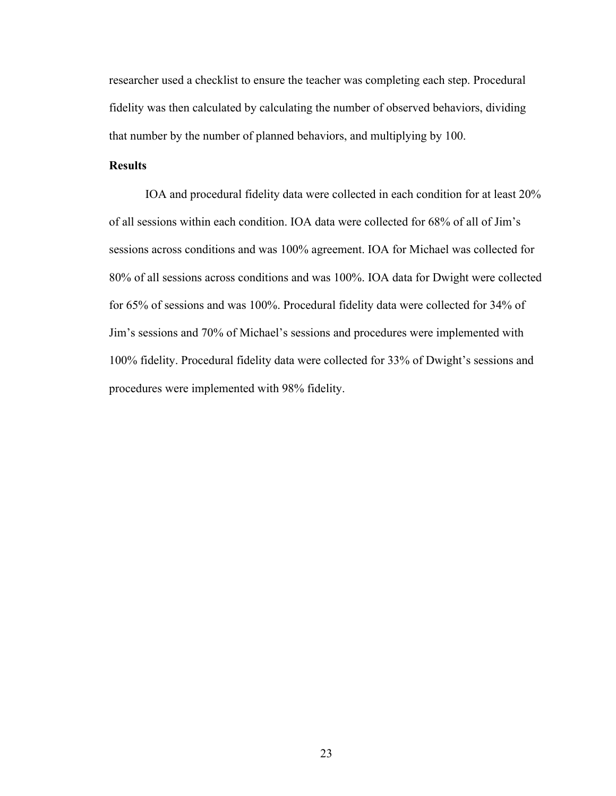researcher used a checklist to ensure the teacher was completing each step. Procedural fidelity was then calculated by calculating the number of observed behaviors, dividing that number by the number of planned behaviors, and multiplying by 100.

### **Results**

IOA and procedural fidelity data were collected in each condition for at least 20% of all sessions within each condition. IOA data were collected for 68% of all of Jim's sessions across conditions and was 100% agreement. IOA for Michael was collected for 80% of all sessions across conditions and was 100%. IOA data for Dwight were collected for 65% of sessions and was 100%. Procedural fidelity data were collected for 34% of Jim's sessions and 70% of Michael's sessions and procedures were implemented with 100% fidelity. Procedural fidelity data were collected for 33% of Dwight's sessions and procedures were implemented with 98% fidelity.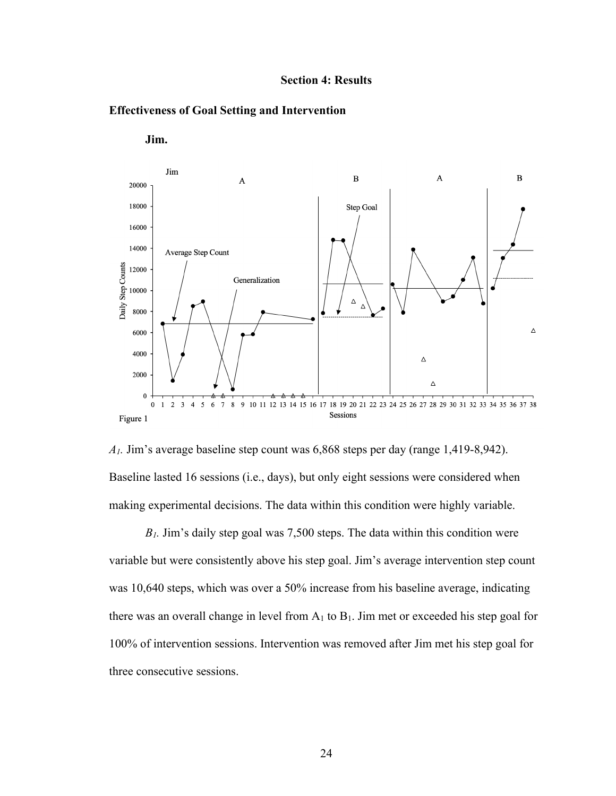#### **Section 4: Results**



#### **Effectiveness of Goal Setting and Intervention**





Baseline lasted 16 sessions (i.e., days), but only eight sessions were considered when making experimental decisions. The data within this condition were highly variable.

*B1.* Jim's daily step goal was 7,500 steps. The data within this condition were variable but were consistently above his step goal. Jim's average intervention step count was 10,640 steps, which was over a 50% increase from his baseline average, indicating there was an overall change in level from  $A_1$  to  $B_1$ . Jim met or exceeded his step goal for 100% of intervention sessions. Intervention was removed after Jim met his step goal for three consecutive sessions.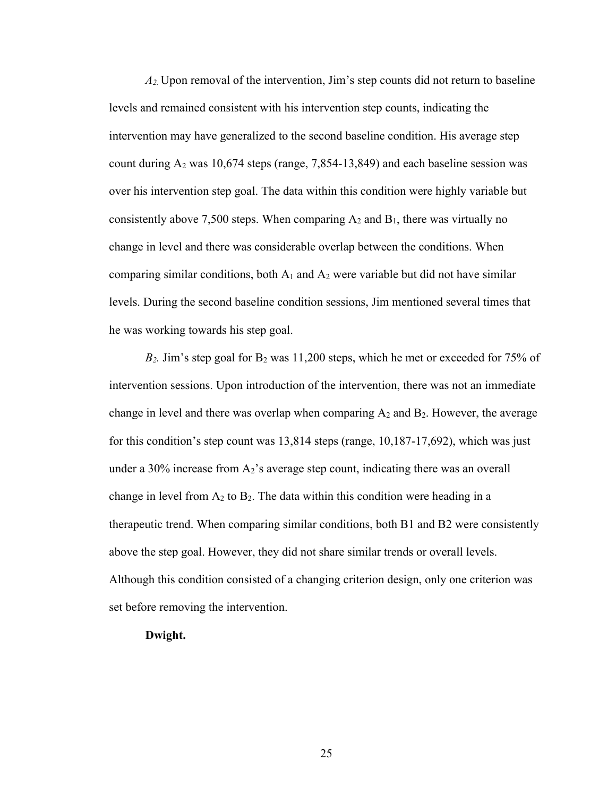*A2.* Upon removal of the intervention, Jim's step counts did not return to baseline levels and remained consistent with his intervention step counts, indicating the intervention may have generalized to the second baseline condition. His average step count during  $A_2$  was 10,674 steps (range, 7,854-13,849) and each baseline session was over his intervention step goal. The data within this condition were highly variable but consistently above 7,500 steps. When comparing  $A_2$  and  $B_1$ , there was virtually no change in level and there was considerable overlap between the conditions. When comparing similar conditions, both  $A_1$  and  $A_2$  were variable but did not have similar levels. During the second baseline condition sessions, Jim mentioned several times that he was working towards his step goal.

*B2.* Jim's step goal for B2 was 11,200 steps, which he met or exceeded for 75% of intervention sessions. Upon introduction of the intervention, there was not an immediate change in level and there was overlap when comparing  $A_2$  and  $B_2$ . However, the average for this condition's step count was 13,814 steps (range, 10,187-17,692), which was just under a 30% increase from  $A_2$ 's average step count, indicating there was an overall change in level from  $A_2$  to  $B_2$ . The data within this condition were heading in a therapeutic trend. When comparing similar conditions, both B1 and B2 were consistently above the step goal. However, they did not share similar trends or overall levels. Although this condition consisted of a changing criterion design, only one criterion was set before removing the intervention.

### **Dwight.**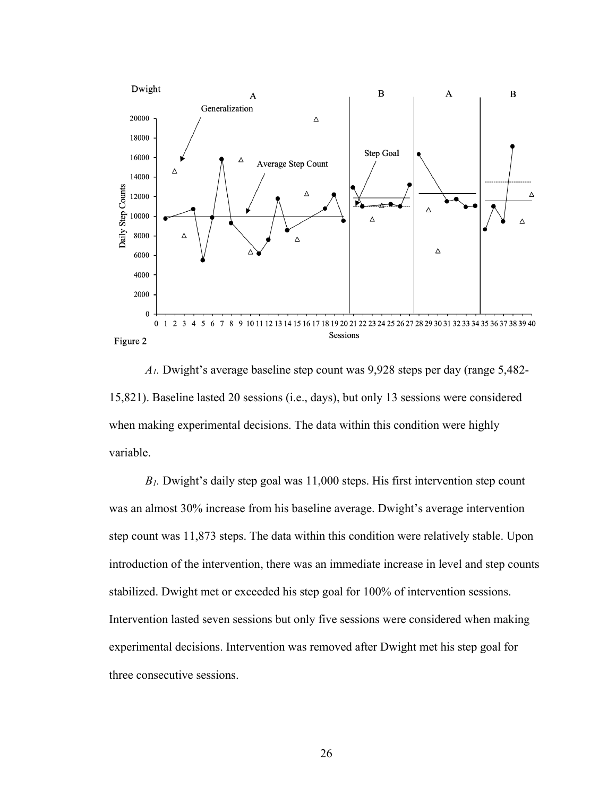

*A1.* Dwight's average baseline step count was 9,928 steps per day (range 5,482- 15,821). Baseline lasted 20 sessions (i.e., days), but only 13 sessions were considered when making experimental decisions. The data within this condition were highly variable.

*B1.* Dwight's daily step goal was 11,000 steps. His first intervention step count was an almost 30% increase from his baseline average. Dwight's average intervention step count was 11,873 steps. The data within this condition were relatively stable. Upon introduction of the intervention, there was an immediate increase in level and step counts stabilized. Dwight met or exceeded his step goal for 100% of intervention sessions. Intervention lasted seven sessions but only five sessions were considered when making experimental decisions. Intervention was removed after Dwight met his step goal for three consecutive sessions.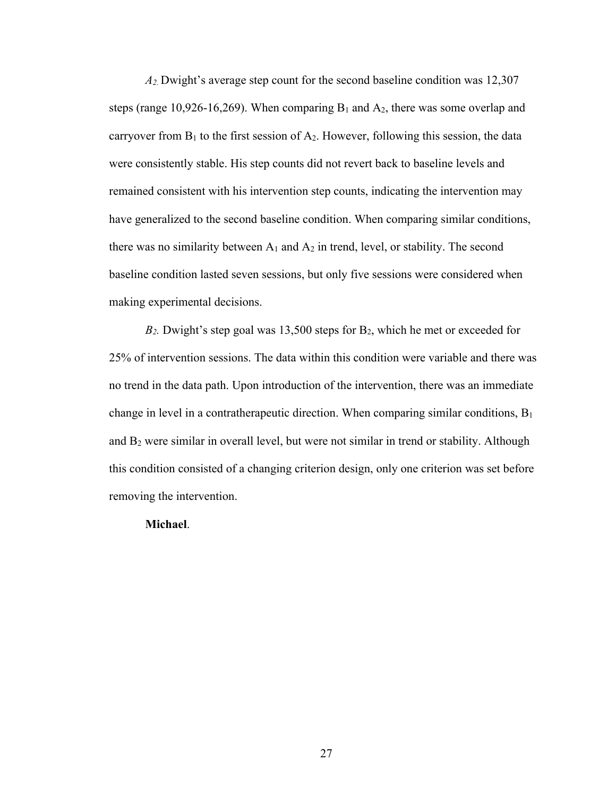*A2.* Dwight's average step count for the second baseline condition was 12,307 steps (range 10,926-16,269). When comparing  $B_1$  and  $A_2$ , there was some overlap and carryover from  $B_1$  to the first session of  $A_2$ . However, following this session, the data were consistently stable. His step counts did not revert back to baseline levels and remained consistent with his intervention step counts, indicating the intervention may have generalized to the second baseline condition. When comparing similar conditions, there was no similarity between  $A_1$  and  $A_2$  in trend, level, or stability. The second baseline condition lasted seven sessions, but only five sessions were considered when making experimental decisions.

*B2.* Dwight's step goal was 13,500 steps for B2, which he met or exceeded for 25% of intervention sessions. The data within this condition were variable and there was no trend in the data path. Upon introduction of the intervention, there was an immediate change in level in a contratherapeutic direction. When comparing similar conditions, B1 and B2 were similar in overall level, but were not similar in trend or stability. Although this condition consisted of a changing criterion design, only one criterion was set before removing the intervention.

**Michael**.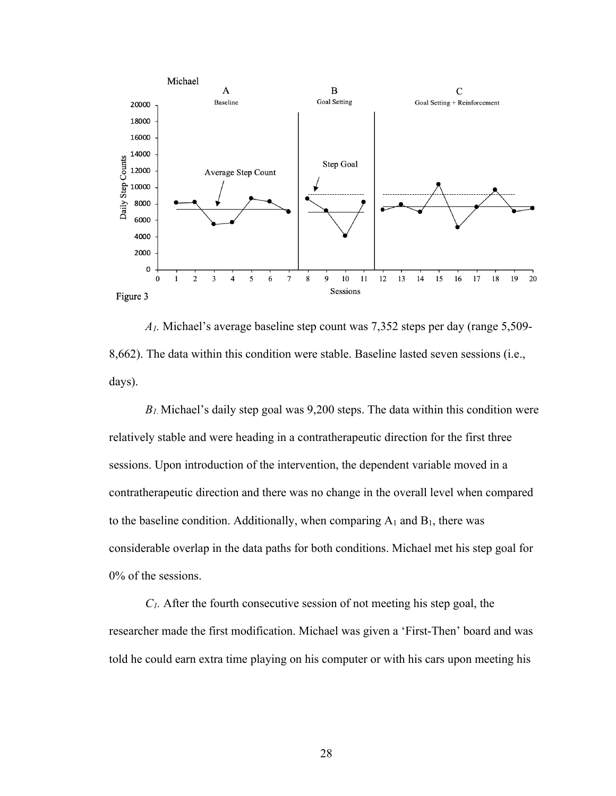

*A1.* Michael's average baseline step count was 7,352 steps per day (range 5,509- 8,662). The data within this condition were stable. Baseline lasted seven sessions (i.e., days).

*B1.* Michael's daily step goal was 9,200 steps. The data within this condition were relatively stable and were heading in a contratherapeutic direction for the first three sessions. Upon introduction of the intervention, the dependent variable moved in a contratherapeutic direction and there was no change in the overall level when compared to the baseline condition. Additionally, when comparing  $A_1$  and  $B_1$ , there was considerable overlap in the data paths for both conditions. Michael met his step goal for 0% of the sessions.

*C1.* After the fourth consecutive session of not meeting his step goal, the researcher made the first modification. Michael was given a 'First-Then' board and was told he could earn extra time playing on his computer or with his cars upon meeting his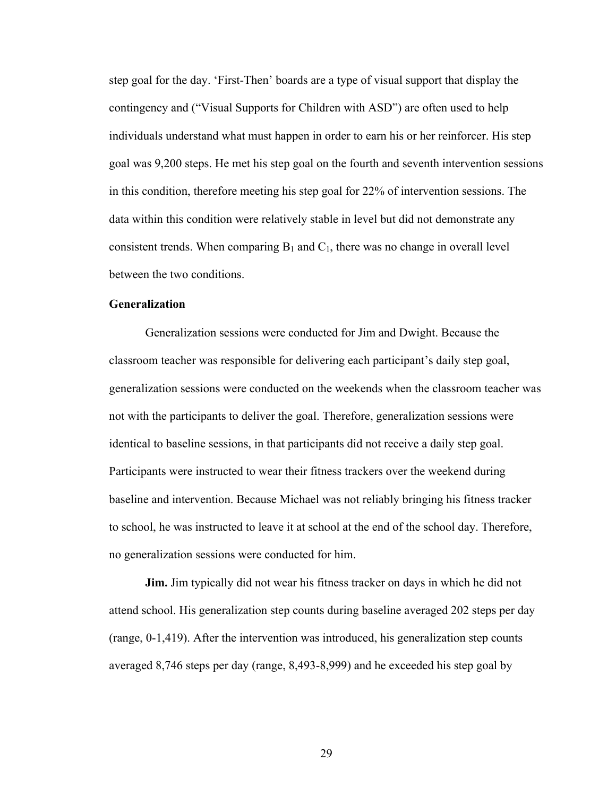step goal for the day. 'First-Then' boards are a type of visual support that display the contingency and ("Visual Supports for Children with ASD") are often used to help individuals understand what must happen in order to earn his or her reinforcer. His step goal was 9,200 steps. He met his step goal on the fourth and seventh intervention sessions in this condition, therefore meeting his step goal for 22% of intervention sessions. The data within this condition were relatively stable in level but did not demonstrate any consistent trends. When comparing  $B_1$  and  $C_1$ , there was no change in overall level between the two conditions.

### **Generalization**

Generalization sessions were conducted for Jim and Dwight. Because the classroom teacher was responsible for delivering each participant's daily step goal, generalization sessions were conducted on the weekends when the classroom teacher was not with the participants to deliver the goal. Therefore, generalization sessions were identical to baseline sessions, in that participants did not receive a daily step goal. Participants were instructed to wear their fitness trackers over the weekend during baseline and intervention. Because Michael was not reliably bringing his fitness tracker to school, he was instructed to leave it at school at the end of the school day. Therefore, no generalization sessions were conducted for him.

**Jim.** Jim typically did not wear his fitness tracker on days in which he did not attend school. His generalization step counts during baseline averaged 202 steps per day (range, 0-1,419). After the intervention was introduced, his generalization step counts averaged 8,746 steps per day (range, 8,493-8,999) and he exceeded his step goal by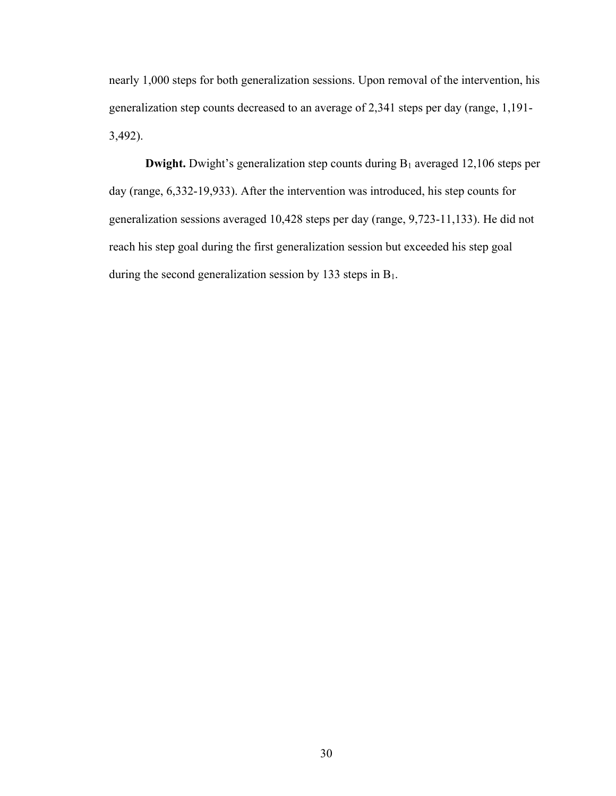nearly 1,000 steps for both generalization sessions. Upon removal of the intervention, his generalization step counts decreased to an average of 2,341 steps per day (range, 1,191- 3,492).

**Dwight.** Dwight's generalization step counts during B<sub>1</sub> averaged 12,106 steps per day (range, 6,332-19,933). After the intervention was introduced, his step counts for generalization sessions averaged 10,428 steps per day (range, 9,723-11,133). He did not reach his step goal during the first generalization session but exceeded his step goal during the second generalization session by 133 steps in B1.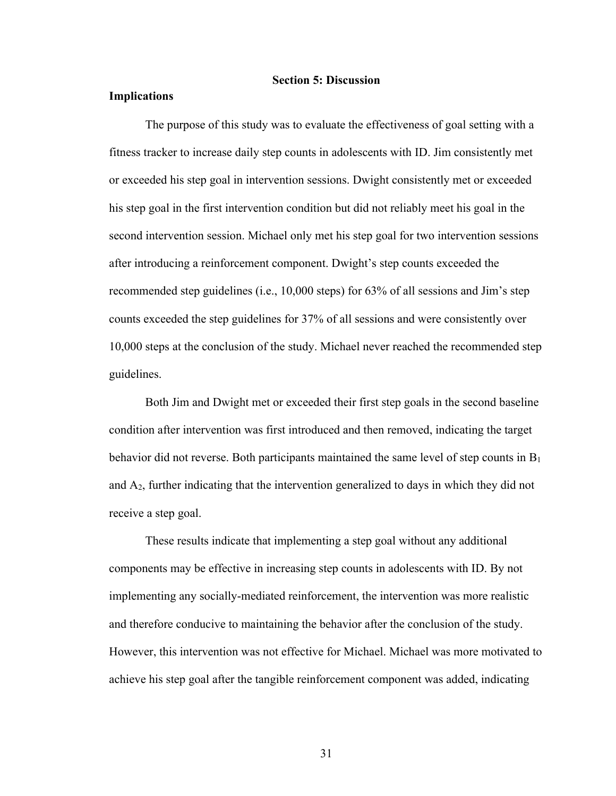#### **Section 5: Discussion**

#### **Implications**

The purpose of this study was to evaluate the effectiveness of goal setting with a fitness tracker to increase daily step counts in adolescents with ID. Jim consistently met or exceeded his step goal in intervention sessions. Dwight consistently met or exceeded his step goal in the first intervention condition but did not reliably meet his goal in the second intervention session. Michael only met his step goal for two intervention sessions after introducing a reinforcement component. Dwight's step counts exceeded the recommended step guidelines (i.e., 10,000 steps) for 63% of all sessions and Jim's step counts exceeded the step guidelines for 37% of all sessions and were consistently over 10,000 steps at the conclusion of the study. Michael never reached the recommended step guidelines.

Both Jim and Dwight met or exceeded their first step goals in the second baseline condition after intervention was first introduced and then removed, indicating the target behavior did not reverse. Both participants maintained the same level of step counts in  $B_1$ and A2, further indicating that the intervention generalized to days in which they did not receive a step goal.

These results indicate that implementing a step goal without any additional components may be effective in increasing step counts in adolescents with ID. By not implementing any socially-mediated reinforcement, the intervention was more realistic and therefore conducive to maintaining the behavior after the conclusion of the study. However, this intervention was not effective for Michael. Michael was more motivated to achieve his step goal after the tangible reinforcement component was added, indicating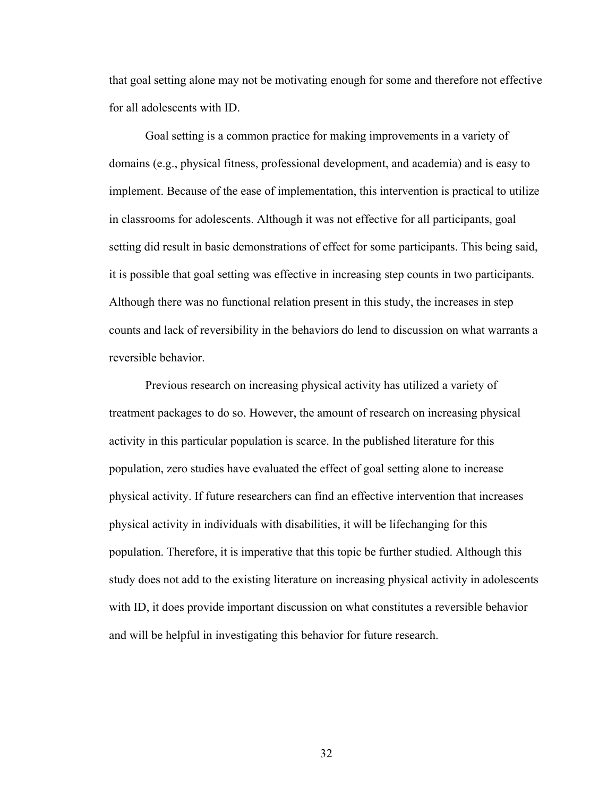that goal setting alone may not be motivating enough for some and therefore not effective for all adolescents with ID.

Goal setting is a common practice for making improvements in a variety of domains (e.g., physical fitness, professional development, and academia) and is easy to implement. Because of the ease of implementation, this intervention is practical to utilize in classrooms for adolescents. Although it was not effective for all participants, goal setting did result in basic demonstrations of effect for some participants. This being said, it is possible that goal setting was effective in increasing step counts in two participants. Although there was no functional relation present in this study, the increases in step counts and lack of reversibility in the behaviors do lend to discussion on what warrants a reversible behavior.

Previous research on increasing physical activity has utilized a variety of treatment packages to do so. However, the amount of research on increasing physical activity in this particular population is scarce. In the published literature for this population, zero studies have evaluated the effect of goal setting alone to increase physical activity. If future researchers can find an effective intervention that increases physical activity in individuals with disabilities, it will be lifechanging for this population. Therefore, it is imperative that this topic be further studied. Although this study does not add to the existing literature on increasing physical activity in adolescents with ID, it does provide important discussion on what constitutes a reversible behavior and will be helpful in investigating this behavior for future research.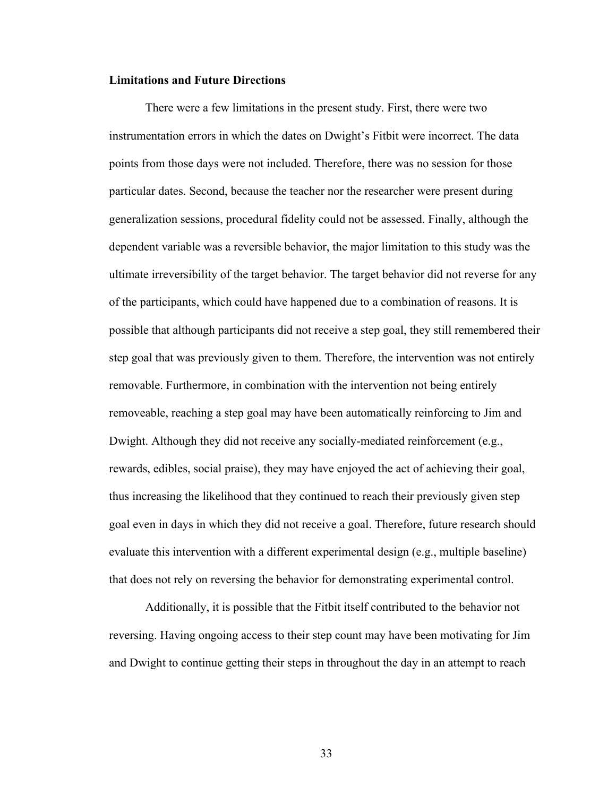#### **Limitations and Future Directions**

There were a few limitations in the present study. First, there were two instrumentation errors in which the dates on Dwight's Fitbit were incorrect. The data points from those days were not included. Therefore, there was no session for those particular dates. Second, because the teacher nor the researcher were present during generalization sessions, procedural fidelity could not be assessed. Finally, although the dependent variable was a reversible behavior, the major limitation to this study was the ultimate irreversibility of the target behavior. The target behavior did not reverse for any of the participants, which could have happened due to a combination of reasons. It is possible that although participants did not receive a step goal, they still remembered their step goal that was previously given to them. Therefore, the intervention was not entirely removable. Furthermore, in combination with the intervention not being entirely removeable, reaching a step goal may have been automatically reinforcing to Jim and Dwight. Although they did not receive any socially-mediated reinforcement (e.g., rewards, edibles, social praise), they may have enjoyed the act of achieving their goal, thus increasing the likelihood that they continued to reach their previously given step goal even in days in which they did not receive a goal. Therefore, future research should evaluate this intervention with a different experimental design (e.g., multiple baseline) that does not rely on reversing the behavior for demonstrating experimental control.

Additionally, it is possible that the Fitbit itself contributed to the behavior not reversing. Having ongoing access to their step count may have been motivating for Jim and Dwight to continue getting their steps in throughout the day in an attempt to reach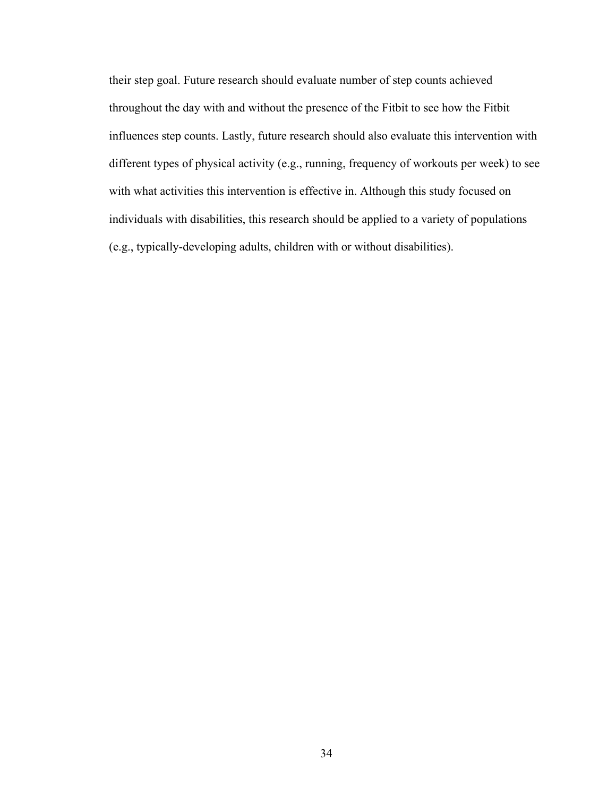their step goal. Future research should evaluate number of step counts achieved throughout the day with and without the presence of the Fitbit to see how the Fitbit influences step counts. Lastly, future research should also evaluate this intervention with different types of physical activity (e.g., running, frequency of workouts per week) to see with what activities this intervention is effective in. Although this study focused on individuals with disabilities, this research should be applied to a variety of populations (e.g., typically-developing adults, children with or without disabilities).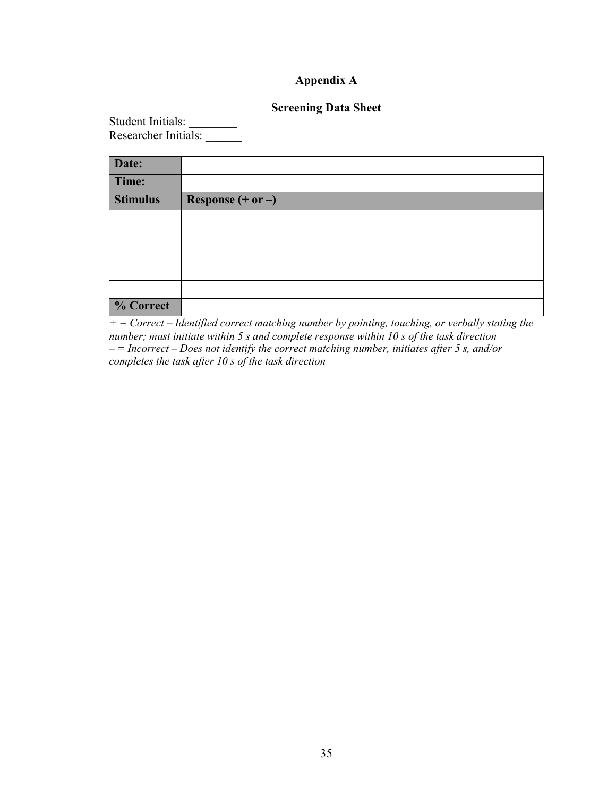## **Appendix A**

## **Screening Data Sheet**

Student Initials: Researcher Initials:

| Date:           |                       |
|-----------------|-----------------------|
| Time:           |                       |
| <b>Stimulus</b> | Response $(+$ or $-)$ |
|                 |                       |
|                 |                       |
|                 |                       |
|                 |                       |
|                 |                       |
| % Correct       |                       |

*+ = Correct – Identified correct matching number by pointing, touching, or verbally stating the number; must initiate within 5 s and complete response within 10 s of the task direction – = Incorrect – Does not identify the correct matching number, initiates after 5 s, and/or completes the task after 10 s of the task direction*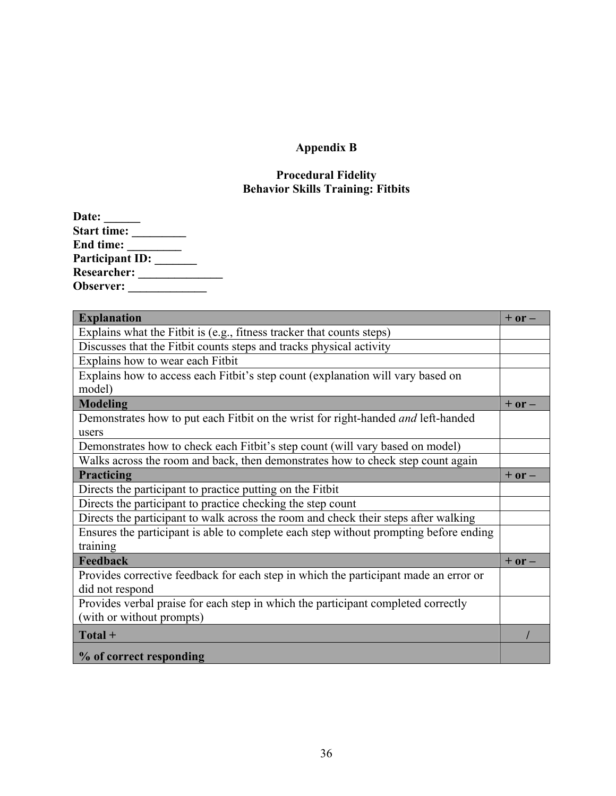# **Appendix B**

### **Procedural Fidelity Behavior Skills Training: Fitbits**

| Date:                  |  |
|------------------------|--|
| <b>Start time:</b>     |  |
| <b>End time:</b>       |  |
| <b>Participant ID:</b> |  |
| <b>Researcher:</b>     |  |
| Observer:              |  |

| <b>Explanation</b>                                                                    | $+$ or $-$ |
|---------------------------------------------------------------------------------------|------------|
| Explains what the Fitbit is (e.g., fitness tracker that counts steps)                 |            |
| Discusses that the Fitbit counts steps and tracks physical activity                   |            |
| Explains how to wear each Fitbit                                                      |            |
| Explains how to access each Fitbit's step count (explanation will vary based on       |            |
| model)                                                                                |            |
| <b>Modeling</b>                                                                       | $+$ or $-$ |
| Demonstrates how to put each Fitbit on the wrist for right-handed and left-handed     |            |
| users                                                                                 |            |
| Demonstrates how to check each Fitbit's step count (will vary based on model)         |            |
| Walks across the room and back, then demonstrates how to check step count again       |            |
| <b>Practicing</b>                                                                     | $+$ or $-$ |
| Directs the participant to practice putting on the Fitbit                             |            |
| Directs the participant to practice checking the step count                           |            |
| Directs the participant to walk across the room and check their steps after walking   |            |
| Ensures the participant is able to complete each step without prompting before ending |            |
| training                                                                              |            |
| Feedback                                                                              | $+$ or $-$ |
| Provides corrective feedback for each step in which the participant made an error or  |            |
| did not respond                                                                       |            |
| Provides verbal praise for each step in which the participant completed correctly     |            |
| (with or without prompts)                                                             |            |
| Total +                                                                               |            |
| % of correct responding                                                               |            |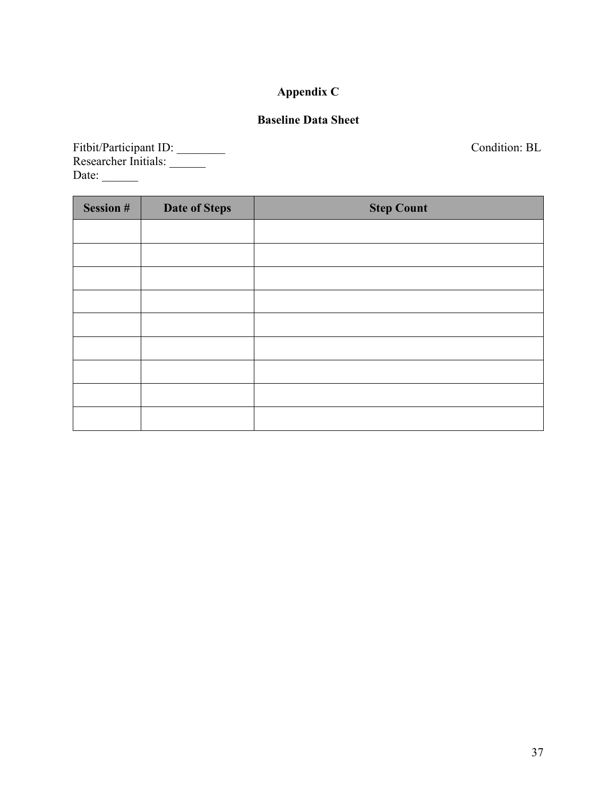# **Appendix C**

# **Baseline Data Sheet**

Fitbit/Participant ID: Condition: BL Researcher Initials: Date:  $\_\_$ 

| <b>Session#</b> | <b>Date of Steps</b> | <b>Step Count</b> |
|-----------------|----------------------|-------------------|
|                 |                      |                   |
|                 |                      |                   |
|                 |                      |                   |
|                 |                      |                   |
|                 |                      |                   |
|                 |                      |                   |
|                 |                      |                   |
|                 |                      |                   |
|                 |                      |                   |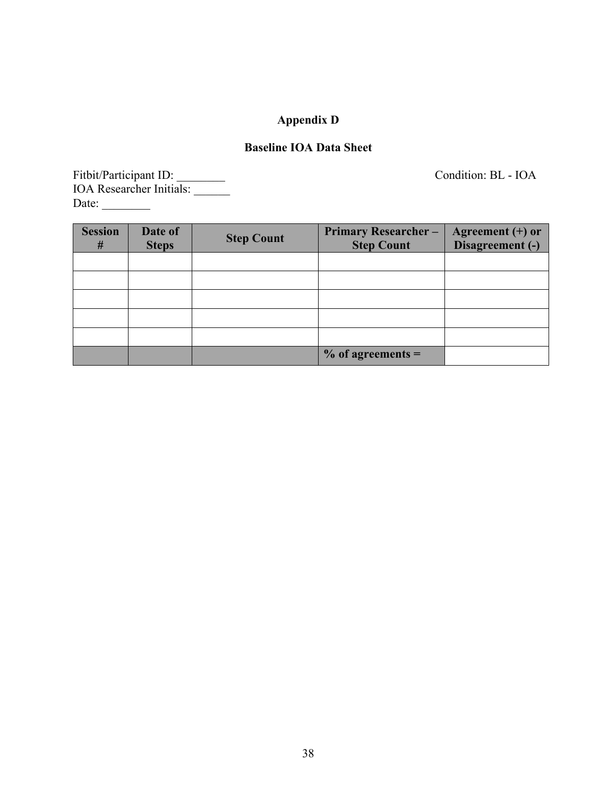# **Appendix D**

# **Baseline IOA Data Sheet**

Fitbit/Participant ID: Condition: BL - IOA IOA Researcher Initials: \_\_\_\_\_\_ Date: \_\_\_\_\_\_\_\_

| <b>Session</b><br># | Date of<br><b>Steps</b> | <b>Step Count</b> | <b>Primary Researcher-</b><br><b>Step Count</b> | Agreement (+) or<br>Disagreement (-) |
|---------------------|-------------------------|-------------------|-------------------------------------------------|--------------------------------------|
|                     |                         |                   |                                                 |                                      |
|                     |                         |                   |                                                 |                                      |
|                     |                         |                   |                                                 |                                      |
|                     |                         |                   |                                                 |                                      |
|                     |                         |                   |                                                 |                                      |
|                     |                         |                   | $\%$ of agreements =                            |                                      |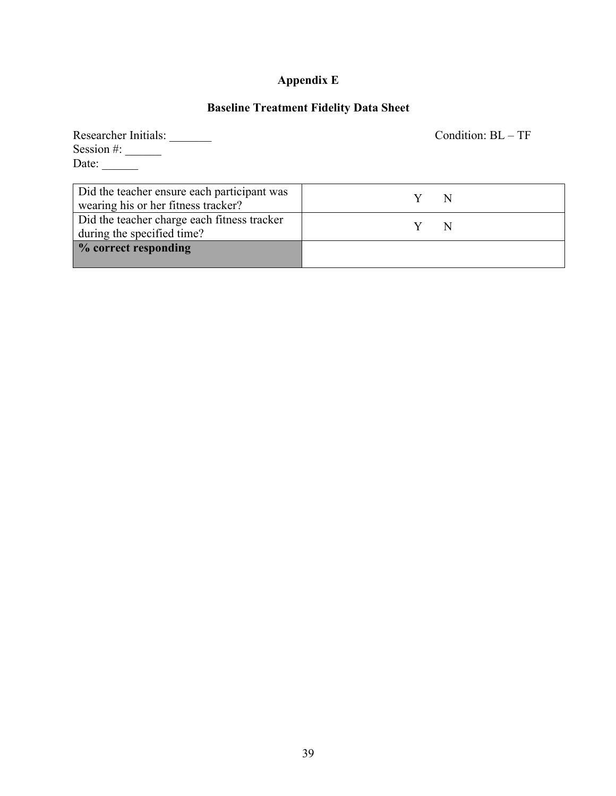# **Appendix E**

# **Baseline Treatment Fidelity Data Sheet**

| Researcher Initials:                        | Condition: $BL - TF$ |
|---------------------------------------------|----------------------|
| Session $#$ :                               |                      |
| Date:                                       |                      |
|                                             |                      |
| Did the teacher ensure each participant was |                      |
| wearing his or her fitness tracker?         |                      |
| Did the teacher charge each fitness tracker |                      |
| during the specified time?                  |                      |
| % correct responding                        |                      |
|                                             |                      |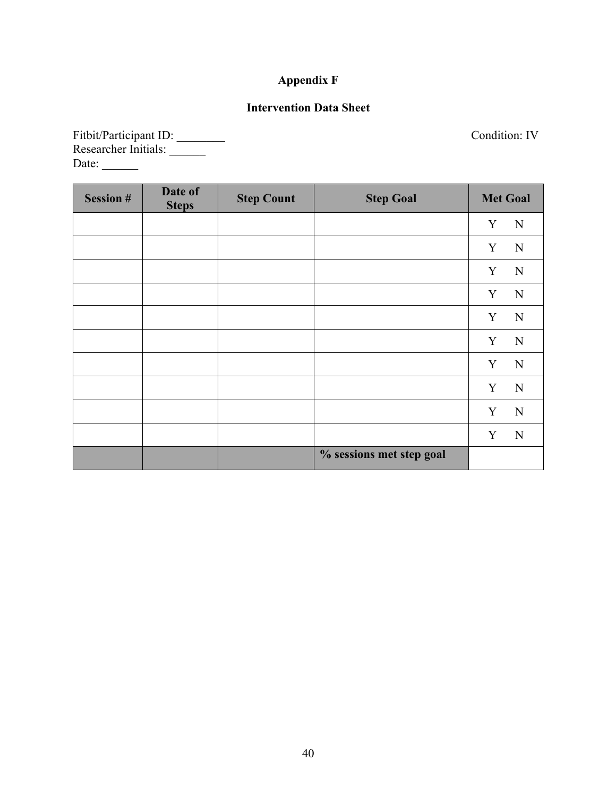# **Appendix F**

## **Intervention Data Sheet**

Fitbit/Participant ID: Condition: IV Researcher Initials: Date:  $\_\_$ 

| <b>Session #</b> | Date of<br><b>Steps</b> | <b>Step Count</b> | <b>Step Goal</b>         | <b>Met Goal</b> |             |
|------------------|-------------------------|-------------------|--------------------------|-----------------|-------------|
|                  |                         |                   |                          | Y               | ${\bf N}$   |
|                  |                         |                   |                          | Y               | $\mathbf N$ |
|                  |                         |                   |                          | Y               | $\mathbf N$ |
|                  |                         |                   |                          | Y               | $\mathbf N$ |
|                  |                         |                   |                          | Y               | $\mathbf N$ |
|                  |                         |                   |                          | Y               | $\mathbf N$ |
|                  |                         |                   |                          | Y               | $\mathbf N$ |
|                  |                         |                   |                          | Y               | $\mathbf N$ |
|                  |                         |                   |                          | Y               | $\mathbf N$ |
|                  |                         |                   |                          | Y               | $\mathbf N$ |
|                  |                         |                   | % sessions met step goal |                 |             |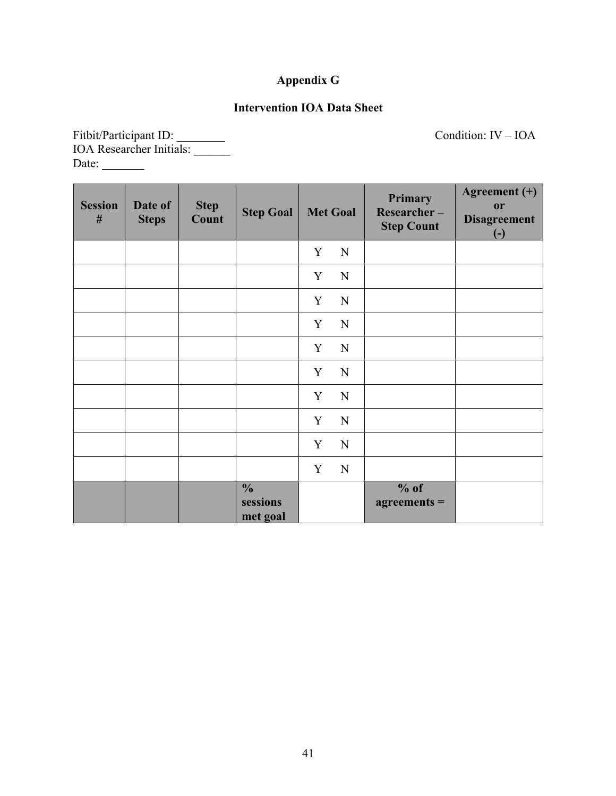# **Appendix G**

# **Intervention IOA Data Sheet**

<u> 2008 - Jan Samuel Barbara, margaret eta biztanleria (h. 1878).</u>

Fitbit/Participant ID: Condition: IV – IOA IOA Researcher Initials: \_\_\_\_\_\_ Date:  $\_\_$ 

| <b>Session</b><br># | Date of<br><b>Steps</b> | <b>Step</b><br>Count | <b>Step Goal</b>                      | <b>Met Goal</b> |             | <b>Primary</b><br>Researcher-<br><b>Step Count</b> | Agreement (+)<br>or<br><b>Disagreement</b><br>$(-)$ |
|---------------------|-------------------------|----------------------|---------------------------------------|-----------------|-------------|----------------------------------------------------|-----------------------------------------------------|
|                     |                         |                      |                                       | Y               | $\mathbf N$ |                                                    |                                                     |
|                     |                         |                      |                                       | Y               | $\mathbf N$ |                                                    |                                                     |
|                     |                         |                      |                                       | Y               | $\mathbf N$ |                                                    |                                                     |
|                     |                         |                      |                                       | Y               | $\mathbf N$ |                                                    |                                                     |
|                     |                         |                      |                                       | Y               | ${\bf N}$   |                                                    |                                                     |
|                     |                         |                      |                                       | Y               | ${\bf N}$   |                                                    |                                                     |
|                     |                         |                      |                                       | Y               | ${\bf N}$   |                                                    |                                                     |
|                     |                         |                      |                                       | Y               | ${\bf N}$   |                                                    |                                                     |
|                     |                         |                      |                                       | Y               | ${\bf N}$   |                                                    |                                                     |
|                     |                         |                      |                                       | Y               | ${\bf N}$   |                                                    |                                                     |
|                     |                         |                      | $\frac{0}{0}$<br>sessions<br>met goal |                 |             | $%$ of<br>$agreements =$                           |                                                     |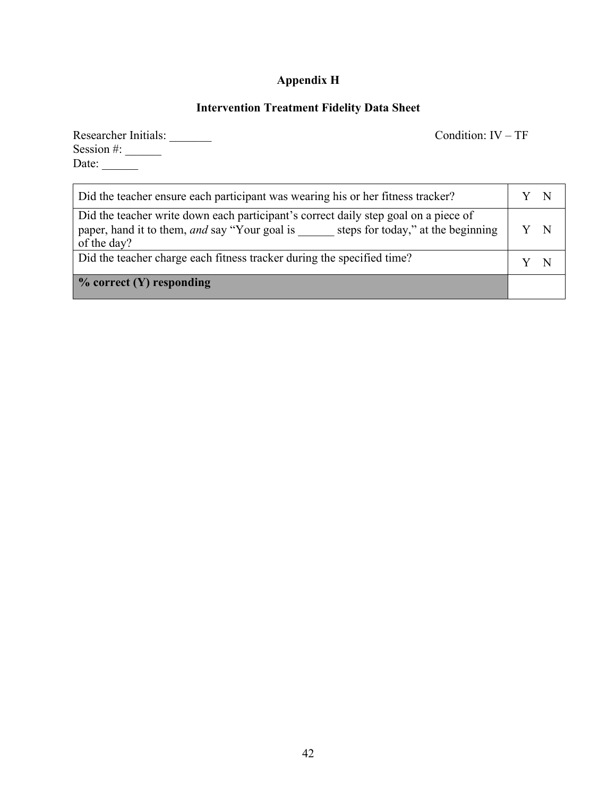# **Appendix H**

# **Intervention Treatment Fidelity Data Sheet**

| Researcher Initials: | Condition: $IV - TF$ |
|----------------------|----------------------|
| Session $#$ :        |                      |
| Date:                |                      |
|                      |                      |
|                      |                      |

| Did the teacher ensure each participant was wearing his or her fitness tracker?                                                                                                                  |  |  |  |  |  |
|--------------------------------------------------------------------------------------------------------------------------------------------------------------------------------------------------|--|--|--|--|--|
| Did the teacher write down each participant's correct daily step goal on a piece of<br>steps for today," at the beginning<br>paper, hand it to them, <i>and</i> say "Your goal is<br>of the day? |  |  |  |  |  |
| Did the teacher charge each fitness tracker during the specified time?                                                                                                                           |  |  |  |  |  |
| $%$ correct $(Y)$ responding                                                                                                                                                                     |  |  |  |  |  |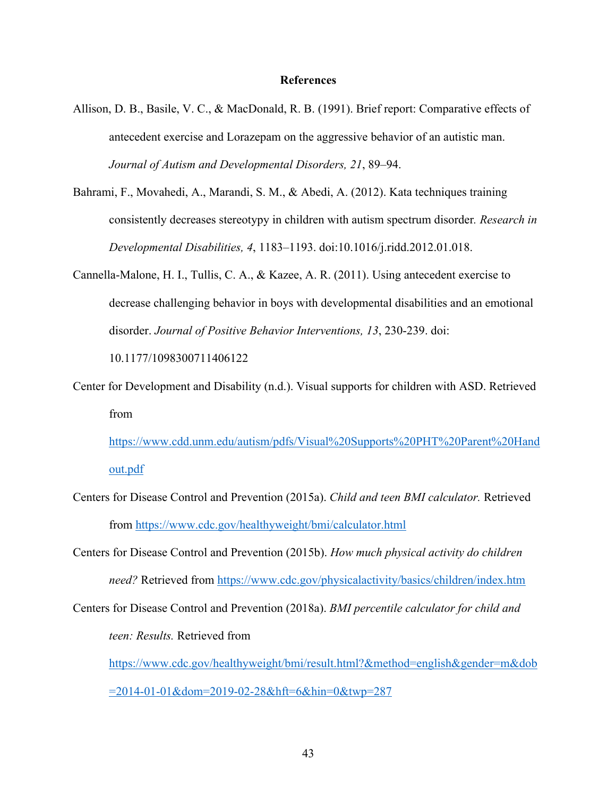#### **References**

- Allison, D. B., Basile, V. C., & MacDonald, R. B. (1991). Brief report: Comparative effects of antecedent exercise and Lorazepam on the aggressive behavior of an autistic man. *Journal of Autism and Developmental Disorders, 21*, 89–94.
- Bahrami, F., Movahedi, A., Marandi, S. M., & Abedi, A. (2012). Kata techniques training consistently decreases stereotypy in children with autism spectrum disorder*. Research in Developmental Disabilities, 4*, 1183–1193. doi:10.1016/j.ridd.2012.01.018.
- Cannella-Malone, H. I., Tullis, C. A., & Kazee, A. R. (2011). Using antecedent exercise to decrease challenging behavior in boys with developmental disabilities and an emotional disorder. *Journal of Positive Behavior Interventions, 13*, 230-239. doi: 10.1177/1098300711406122
- Center for Development and Disability (n.d.). Visual supports for children with ASD. Retrieved from

https://www.cdd.unm.edu/autism/pdfs/Visual%20Supports%20PHT%20Parent%20Hand out.pdf

- Centers for Disease Control and Prevention (2015a). *Child and teen BMI calculator.* Retrieved from https://www.cdc.gov/healthyweight/bmi/calculator.html
- Centers for Disease Control and Prevention (2015b). *How much physical activity do children need?* Retrieved from https://www.cdc.gov/physicalactivity/basics/children/index.htm

Centers for Disease Control and Prevention (2018a). *BMI percentile calculator for child and teen: Results.* Retrieved from

https://www.cdc.gov/healthyweight/bmi/result.html?&method=english&gender=m&dob =2014-01-01&dom=2019-02-28&hft=6&hin=0&twp=287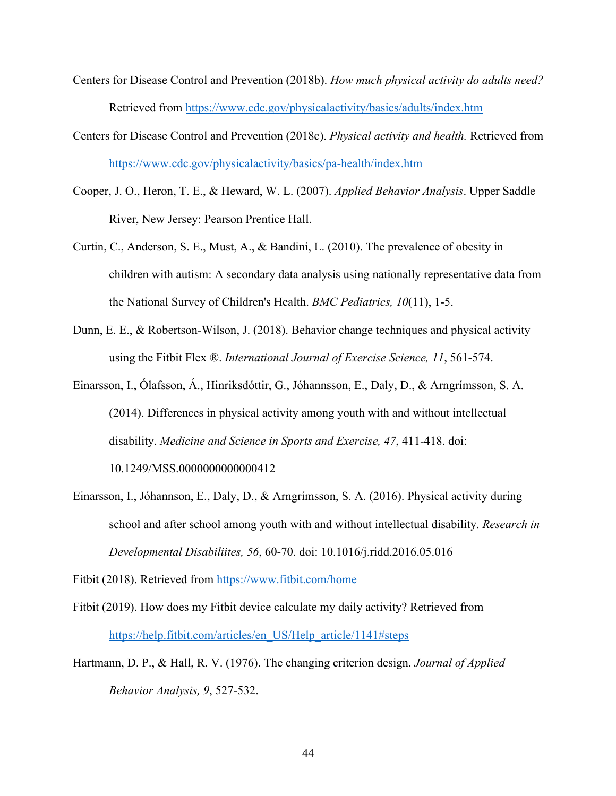- Centers for Disease Control and Prevention (2018b). *How much physical activity do adults need?*  Retrieved from https://www.cdc.gov/physicalactivity/basics/adults/index.htm
- Centers for Disease Control and Prevention (2018c). *Physical activity and health.* Retrieved from https://www.cdc.gov/physicalactivity/basics/pa-health/index.htm
- Cooper, J. O., Heron, T. E., & Heward, W. L. (2007). *Applied Behavior Analysis*. Upper Saddle River, New Jersey: Pearson Prentice Hall.
- Curtin, C., Anderson, S. E., Must, A., & Bandini, L. (2010). The prevalence of obesity in children with autism: A secondary data analysis using nationally representative data from the National Survey of Children's Health. *BMC Pediatrics, 10*(11), 1-5.
- Dunn, E. E., & Robertson-Wilson, J. (2018). Behavior change techniques and physical activity using the Fitbit Flex ®. *International Journal of Exercise Science, 11*, 561-574.
- Einarsson, I., Ólafsson, Á., Hinriksdóttir, G., Jóhannsson, E., Daly, D., & Arngrímsson, S. A. (2014). Differences in physical activity among youth with and without intellectual disability. *Medicine and Science in Sports and Exercise, 47*, 411-418. doi: 10.1249/MSS.0000000000000412
- Einarsson, I., Jóhannson, E., Daly, D., & Arngrímsson, S. A. (2016). Physical activity during school and after school among youth with and without intellectual disability. *Research in Developmental Disabiliites, 56*, 60-70. doi: 10.1016/j.ridd.2016.05.016

Fitbit (2018). Retrieved from https://www.fitbit.com/home

- Fitbit (2019). How does my Fitbit device calculate my daily activity? Retrieved from https://help.fitbit.com/articles/en\_US/Help\_article/1141#steps
- Hartmann, D. P., & Hall, R. V. (1976). The changing criterion design. *Journal of Applied Behavior Analysis, 9*, 527-532.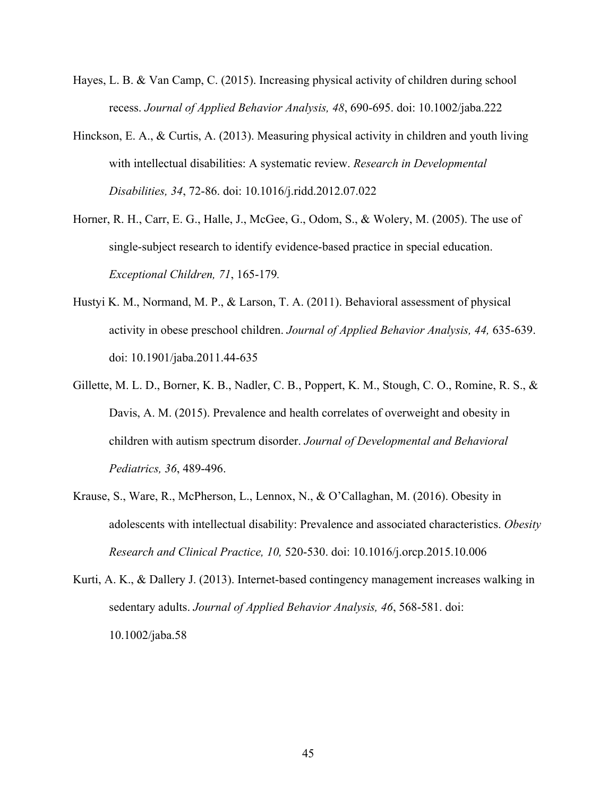- Hayes, L. B. & Van Camp, C. (2015). Increasing physical activity of children during school recess. *Journal of Applied Behavior Analysis, 48*, 690-695. doi: 10.1002/jaba.222
- Hinckson, E. A., & Curtis, A. (2013). Measuring physical activity in children and youth living with intellectual disabilities: A systematic review. *Research in Developmental Disabilities, 34*, 72-86. doi: 10.1016/j.ridd.2012.07.022
- Horner, R. H., Carr, E. G., Halle, J., McGee, G., Odom, S., & Wolery, M. (2005). The use of single-subject research to identify evidence-based practice in special education. *Exceptional Children, 71*, 165-179*.*
- Hustyi K. M., Normand, M. P., & Larson, T. A. (2011). Behavioral assessment of physical activity in obese preschool children. *Journal of Applied Behavior Analysis, 44,* 635-639. doi: 10.1901/jaba.2011.44-635
- Gillette, M. L. D., Borner, K. B., Nadler, C. B., Poppert, K. M., Stough, C. O., Romine, R. S., & Davis, A. M. (2015). Prevalence and health correlates of overweight and obesity in children with autism spectrum disorder. *Journal of Developmental and Behavioral Pediatrics, 36*, 489-496.
- Krause, S., Ware, R., McPherson, L., Lennox, N., & O'Callaghan, M. (2016). Obesity in adolescents with intellectual disability: Prevalence and associated characteristics. *Obesity Research and Clinical Practice, 10,* 520-530. doi: 10.1016/j.orcp.2015.10.006
- Kurti, A. K., & Dallery J. (2013). Internet-based contingency management increases walking in sedentary adults. *Journal of Applied Behavior Analysis, 46*, 568-581. doi: 10.1002/jaba.58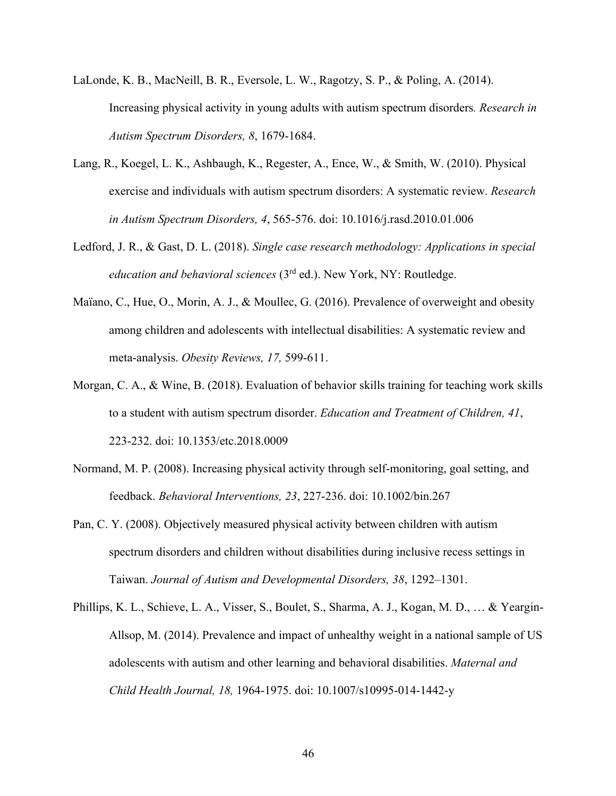- LaLonde, K. B., MacNeill, B. R., Eversole, L. W., Ragotzy, S. P., & Poling, A. (2014). Increasing physical activity in young adults with autism spectrum disorders*. Research in Autism Spectrum Disorders, 8*, 1679-1684.
- Lang, R., Koegel, L. K., Ashbaugh, K., Regester, A., Ence, W., & Smith, W. (2010). Physical exercise and individuals with autism spectrum disorders: A systematic review. *Research in Autism Spectrum Disorders, 4*, 565-576. doi: 10.1016/j.rasd.2010.01.006
- Ledford, J. R., & Gast, D. L. (2018). *Single case research methodology: Applications in special education and behavioral sciences* (3rd ed.). New York, NY: Routledge.
- Maïano, C., Hue, O., Morin, A. J., & Moullec, G. (2016). Prevalence of overweight and obesity among children and adolescents with intellectual disabilities: A systematic review and meta-analysis. *Obesity Reviews, 17,* 599-611.
- Morgan, C. A., & Wine, B. (2018). Evaluation of behavior skills training for teaching work skills to a student with autism spectrum disorder. *Education and Treatment of Children, 41*, 223-232. doi: 10.1353/etc.2018.0009
- Normand, M. P. (2008). Increasing physical activity through self-monitoring, goal setting, and feedback. *Behavioral Interventions, 23*, 227-236. doi: 10.1002/bin.267
- Pan, C. Y. (2008). Objectively measured physical activity between children with autism spectrum disorders and children without disabilities during inclusive recess settings in Taiwan. *Journal of Autism and Developmental Disorders, 38*, 1292–1301.
- Phillips, K. L., Schieve, L. A., Visser, S., Boulet, S., Sharma, A. J., Kogan, M. D., … & Yeargin-Allsop, M. (2014). Prevalence and impact of unhealthy weight in a national sample of US adolescents with autism and other learning and behavioral disabilities. *Maternal and Child Health Journal, 18,* 1964-1975. doi: 10.1007/s10995-014-1442-y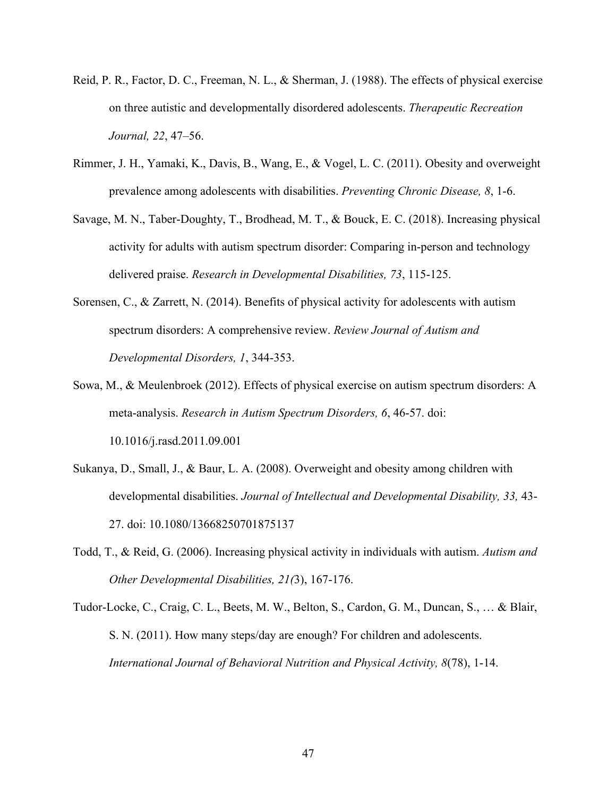- Reid, P. R., Factor, D. C., Freeman, N. L., & Sherman, J. (1988). The effects of physical exercise on three autistic and developmentally disordered adolescents. *Therapeutic Recreation Journal, 22*, 47–56.
- Rimmer, J. H., Yamaki, K., Davis, B., Wang, E., & Vogel, L. C. (2011). Obesity and overweight prevalence among adolescents with disabilities. *Preventing Chronic Disease, 8*, 1-6.
- Savage, M. N., Taber-Doughty, T., Brodhead, M. T., & Bouck, E. C. (2018). Increasing physical activity for adults with autism spectrum disorder: Comparing in-person and technology delivered praise. *Research in Developmental Disabilities, 73*, 115-125.
- Sorensen, C., & Zarrett, N. (2014). Benefits of physical activity for adolescents with autism spectrum disorders: A comprehensive review. *Review Journal of Autism and Developmental Disorders, 1*, 344-353.
- Sowa, M., & Meulenbroek (2012). Effects of physical exercise on autism spectrum disorders: A meta-analysis. *Research in Autism Spectrum Disorders, 6*, 46-57. doi: 10.1016/j.rasd.2011.09.001
- Sukanya, D., Small, J., & Baur, L. A. (2008). Overweight and obesity among children with developmental disabilities. *Journal of Intellectual and Developmental Disability, 33,* 43- 27. doi: 10.1080/13668250701875137
- Todd, T., & Reid, G. (2006). Increasing physical activity in individuals with autism. *Autism and Other Developmental Disabilities, 21(*3), 167-176.

Tudor-Locke, C., Craig, C. L., Beets, M. W., Belton, S., Cardon, G. M., Duncan, S., … & Blair, S. N. (2011). How many steps/day are enough? For children and adolescents. *International Journal of Behavioral Nutrition and Physical Activity, 8*(78), 1-14.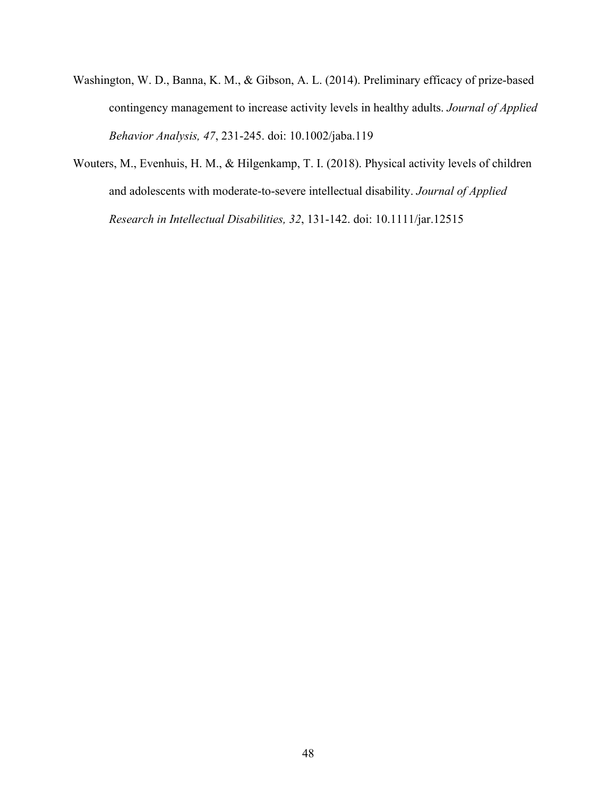- Washington, W. D., Banna, K. M., & Gibson, A. L. (2014). Preliminary efficacy of prize-based contingency management to increase activity levels in healthy adults. *Journal of Applied Behavior Analysis, 47*, 231-245. doi: 10.1002/jaba.119
- Wouters, M., Evenhuis, H. M., & Hilgenkamp, T. I. (2018). Physical activity levels of children and adolescents with moderate-to-severe intellectual disability. *Journal of Applied Research in Intellectual Disabilities, 32*, 131-142. doi: 10.1111/jar.12515